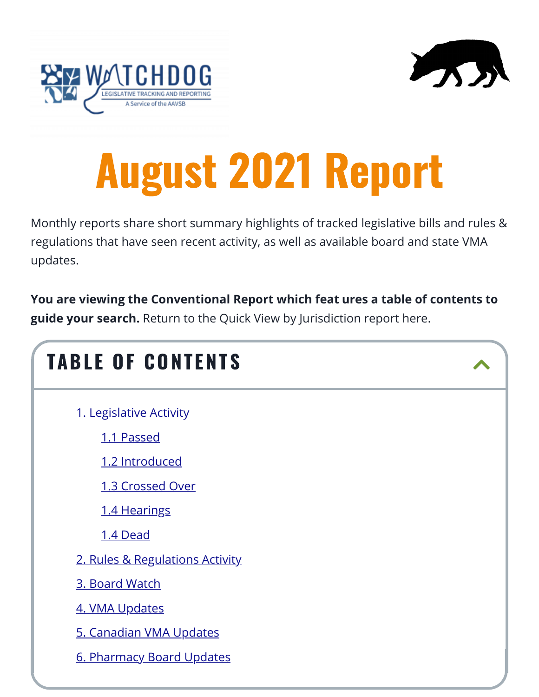

# August 2021 Report

Monthly reports share short summary highlights of tracked legislative bills and rules & regulations that have seen recent activity, as well as available board and state VMA updates.

**You are viewing the Conventional Report which feat ures a table of contents to guide your search.** Return to the Quick View by Jurisdiction report here.

| <b>TABLE OF CONTENTS</b>        |  |
|---------------------------------|--|
| 1. Legislative Activity         |  |
| 1.1 Passed                      |  |
| 1.2 Introduced                  |  |
| 1.3 Crossed Over                |  |
| 1.4 Hearings                    |  |
| 1.4 Dead                        |  |
| 2. Rules & Regulations Activity |  |
| 3. Board Watch                  |  |
| 4. VMA Updates                  |  |
| 5. Canadian VMA Updates         |  |
| 6. Pharmacy Board Updates       |  |
|                                 |  |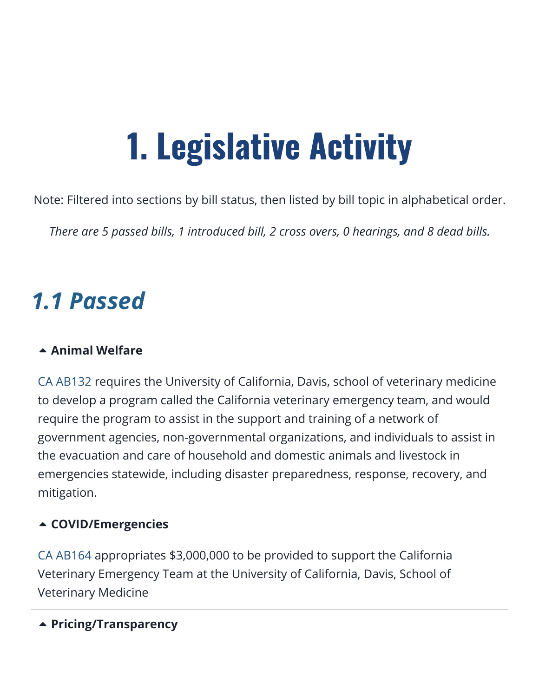# 1. Legislative Activity

<span id="page-1-0"></span>Note: Filtered into sections by bill status, then listed by bill topic in alphabetical order.

*There are 5 passed bills, 1 introduced bill, 2 cross overs, 0 hearings, and 8 dead bills.*

## <span id="page-1-1"></span>*1.1 Passed*

#### **[Animal Welfare](https://aavsbmemberservices.org/august-2021-conventional/?preview_id=4135&preview_nonce=c4a7e6e37c&preview=true)**

[CA AB132](https://www.billtrack50.com/billdetail/1262709/25693) requires the University of California, Davis, school of veterinary medicine to develop a program called the California veterinary emergency team, and would require the program to assist in the support and training of a network of government agencies, non-governmental organizations, and individuals to assist in the evacuation and care of household and domestic animals and livestock in emergencies statewide, including disaster preparedness, response, recovery, and mitigation.

#### **[COVID/Emergencies](https://aavsbmemberservices.org/august-2021-conventional/?preview_id=4135&preview_nonce=c4a7e6e37c&preview=true)**

[CA AB164](https://www.billtrack50.com/billdetail/1262741/25693) appropriates \$3,000,000 to be provided to support the California Veterinary Emergency Team at the University of California, Davis, School of Veterinary Medicine

#### **[Pricing/Transparency](https://aavsbmemberservices.org/august-2021-conventional/?preview_id=4135&preview_nonce=c4a7e6e37c&preview=true)**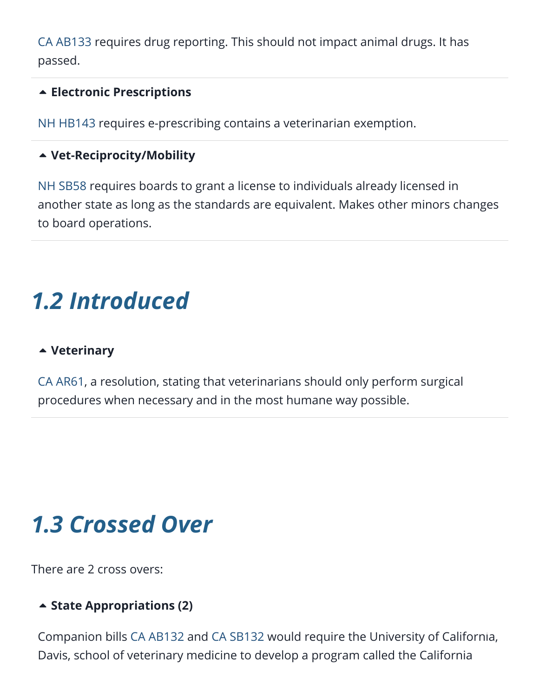[CA AB133](https://www.billtrack50.com/billdetail/1262710/25693) requires drug reporting. This should not impact animal drugs. It has passed.

#### **[Electronic Prescriptions](https://aavsbmemberservices.org/august-2021-conventional/?preview_id=4135&preview_nonce=c4a7e6e37c&preview=true)**

[NH HB143](https://www.billtrack50.com/billdetail/1257741/25693) requires e-prescribing contains a veterinarian exemption.

#### **[Vet-Reciprocity/Mobility](https://aavsbmemberservices.org/august-2021-conventional/?preview_id=4135&preview_nonce=c4a7e6e37c&preview=true)**

[NH SB58](https://www.billtrack50.com/billdetail/1276232/25693) requires boards to grant a license to individuals already licensed in another state as long as the standards are equivalent. Makes other minors changes to board operations.

## <span id="page-2-0"></span>*1.2 Introduced*

#### **[Veterinary](https://aavsbmemberservices.org/august-2021-conventional/?preview_id=4135&preview_nonce=c4a7e6e37c&preview=true)**

[CA AR61,](https://www.billtrack50.com/billdetail/1383849/25693) a resolution, stating that veterinarians should only perform surgical procedures when necessary and in the most humane way possible.

## <span id="page-2-1"></span>*1.3 Crossed Over*

There are 2 cross overs:

#### **[State Appropriations \(2\)](https://aavsbmemberservices.org/august-2021-conventional/?preview_id=4135&preview_nonce=c4a7e6e37c&preview=true)**

Companion bills [CA AB132](https://www.billtrack50.com/billdetail/1262709/25693) and [CA SB132](https://www.billtrack50.com/billdetail/1262811/25693) would require the University of Califo[rnia](#page--1-0), Davis, school of veterinary medicine to develop a program called the California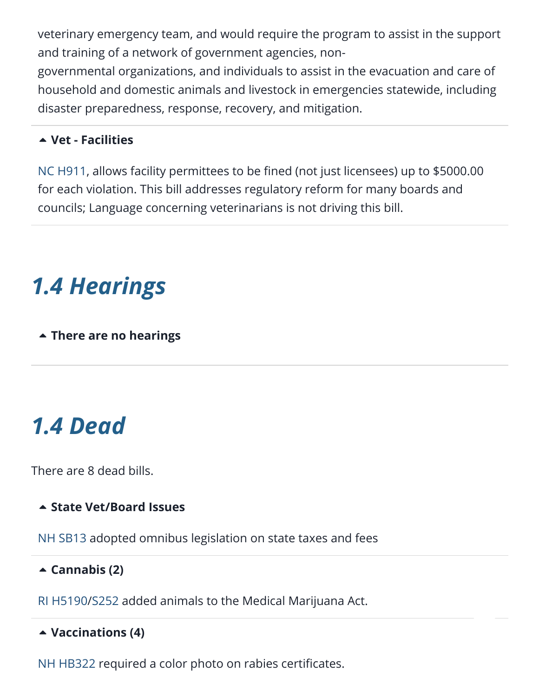veterinary emergency team, and would require the program to assist in the support and training of a network of government agencies, non-

governmental organizations, and individuals to assist in the evacuation and care of household and domestic animals and livestock in emergencies statewide, including disaster preparedness, response, recovery, and mitigation.

#### **[Vet - Facilities](https://aavsbmemberservices.org/august-2021-conventional/?preview_id=4135&preview_nonce=c4a7e6e37c&preview=true)**

[NC H911,](https://www.billtrack50.com/billdetail/1372004/25693) allows facility permittees to be fined (not just licensees) up to \$5000.00 for each violation. This bill addresses regulatory reform for many boards and councils; Language concerning veterinarians is not driving this bill.

## <span id="page-3-0"></span>*1.4 Hearings*

**[There are no hearings](https://aavsbmemberservices.org/august-2021-conventional/?preview_id=4135&preview_nonce=c4a7e6e37c&preview=true)**

## <span id="page-3-1"></span>*1.4 Dead*

There are 8 dead bills.

#### **[State Vet/Board Issues](https://aavsbmemberservices.org/august-2021-conventional/?preview_id=4135&preview_nonce=c4a7e6e37c&preview=true)**

[NH SB13](https://www.billtrack50.com/billdetail/1288568/25693) adopted omnibus legislation on state taxes and fees

#### **[Cannabis \(2\)](https://aavsbmemberservices.org/august-2021-conventional/?preview_id=4135&preview_nonce=c4a7e6e37c&preview=true)**

[RI H5190](https://www.billtrack50.com/billdetail/1289700/25693)/[S252](https://www.billtrack50.com/billdetail/1313940/25693) added animals to the Medical Marijuana Act.

#### **[Vaccinations \(4\)](https://aavsbmemberservices.org/august-2021-conventional/?preview_id=4135&preview_nonce=c4a7e6e37c&preview=true)**

[NH HB322](https://www.billtrack50.com/billdetail/1260591/25693) required a color photo on rabies certificates.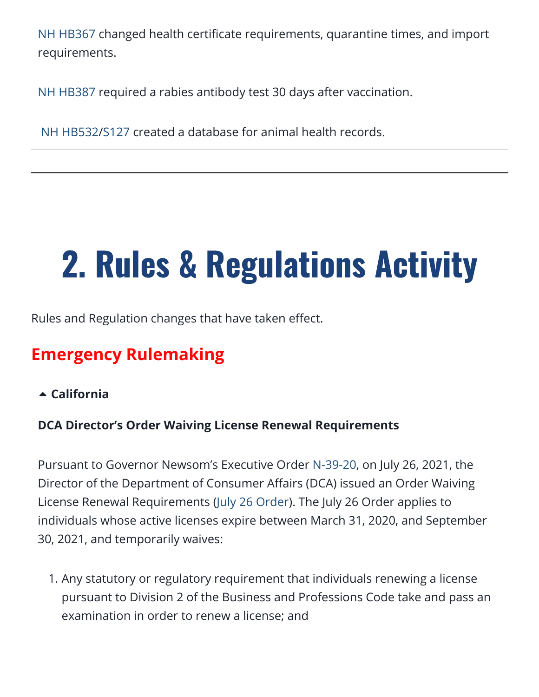[NH HB367](https://www.billtrack50.com/billdetail/1260947/25693) changed health certificate requirements, quarantine times, and import requirements.

[NH HB387](https://www.billtrack50.com/billdetail/1261022/25693) required a rabies antibody test 30 days after vaccination.

[NH HB532](https://www.billtrack50.com/billdetail/1267096/25693)[/S127](https://www.billtrack50.com/billdetail/1300028/25693) created a database for animal health records.

# <span id="page-4-0"></span>2. Rules & Regulations Activity

Rules and Regulation changes that have taken effect.

### **Emergency Rulemaking**

**[California](https://aavsbmemberservices.org/august-2021-conventional/?preview_id=4135&preview_nonce=c4a7e6e37c&preview=true)**

#### **DCA Director's Order Waiving License Renewal Requirements**

Pursuant to Governor Newsom's Executive Order [N-39-20,](https://urldefense.proofpoint.com/v2/url?u=https-3A__www.gov.ca.gov_wp-2Dcontent_uploads_2020_03_3.30.20-2DEO-2DN-2D39-2D20.pdf&d=DwMFaQ&c=LHIwbLRMLqgNuqr1uGLfTA&r=TCuRocdGRPUUHQ2Rtx7pVQ&m=VNU8RixyhSM9Y5p8gKzhCuChESsPNZE-k80NCJSwLLE&s=Tn2yDnyMcE7mJ9IsUVrhu3KQcmoJDbHbVHnuGZ0bKrE&e=) on July 26, 2021, the Director of the Department of Consumer Affairs (DCA) issued an Order Waiving License Renewal Requirements [\(July 26 Order](https://www.dca.ca.gov/licensees/dca_21_175.pdf)). The July 26 Order applies to individuals whose active licenses expire between March 31, 2020, and September 30, 2021, and temporarily waives:

1. Any statutory or regulatory requirement that individuals renewing a license pursuant to Division 2 of the Business and Professions Code take and pass an examination in order to renew a license; and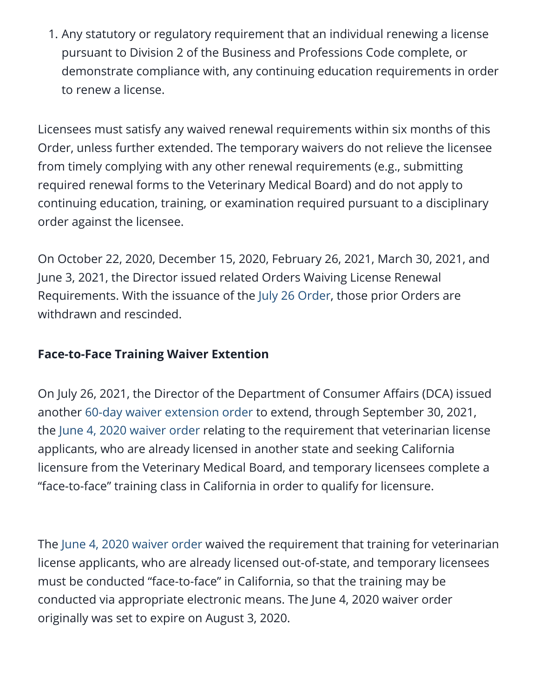1. Any statutory or regulatory requirement that an individual renewing a license pursuant to Division 2 of the Business and Professions Code complete, or demonstrate compliance with, any continuing education requirements in order to renew a license.

Licensees must satisfy any waived renewal requirements within six months of this Order, unless further extended. The temporary waivers do not relieve the licensee from timely complying with any other renewal requirements (e.g., submitting required renewal forms to the Veterinary Medical Board) and do not apply to continuing education, training, or examination required pursuant to a disciplinary order against the licensee.

On October 22, 2020, December 15, 2020, February 26, 2021, March 30, 2021, and June 3, 2021, the Director issued related Orders Waiving License Renewal Requirements. With the issuance of the [July 26 Order,](https://www.dca.ca.gov/licensees/dca_21_175.pdf) those prior Orders are withdrawn and rescinded.

#### **Face-to-Face Training Waiver Extention**

On July 26, 2021, the Director of the Department of Consumer Affairs (DCA) issued another [60-day waiver extension order](https://www.dca.ca.gov/licensees/dca_21_179.pdf) to extend, through September 30, 2021, the [June 4, 2020 waiver order](https://www.dca.ca.gov/licensees/dca_20_22.pdf) relating to the requirement that veterinarian license applicants, who are already licensed in another state and seeking California licensure from the Veterinary Medical Board, and temporary licensees complete a "face-to-face" training class in California in order to qualify for licensure.

The [June 4, 2020 waiver order](https://www.dca.ca.gov/licensees/dca_20_22.pdf) waived the requirement that training for veterinarian license applicants, who are already licensed out-of-state, and temporary licensees must be conducted "face-to-face" in California, so that the training may be conducted via appropriate electronic means. The June 4, 2020 waiver order originally was set to expire on August 3, 2020.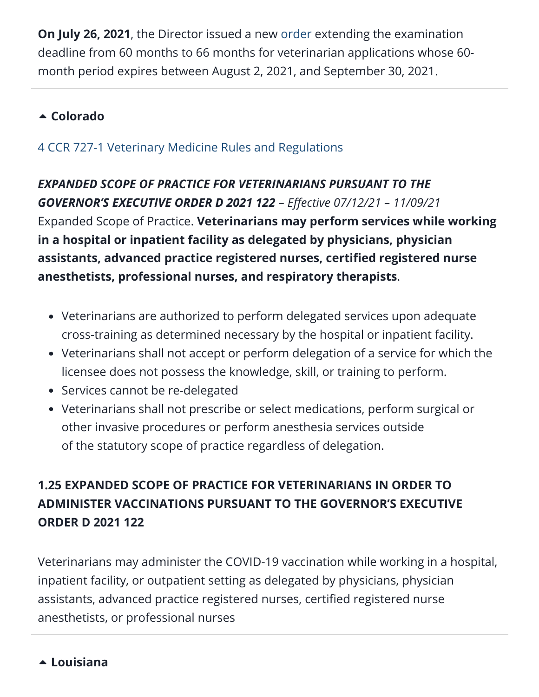**On July 26, 2021**, the Director issued a new [order](https://www.dca.ca.gov/licensees/dca_21_177.pdf) extending the examination deadline from 60 months to 66 months for veterinarian applications whose 60 month period expires between August 2, 2021, and September 30, 2021.

#### **[Colorado](https://aavsbmemberservices.org/august-2021-conventional/?preview_id=4135&preview_nonce=c4a7e6e37c&preview=true)**

#### [4 CCR 727-1 Veterinary Medicine Rules and Regulations](https://www.sos.state.co.us/CCR/Upload/AGORequestEmergency/AdoptedRules12021-00419.doc)

*EXPANDED SCOPE OF PRACTICE FOR VETERINARIANS PURSUANT TO THE GOVERNOR'S EXECUTIVE ORDER D 2021 122* – *Effective 07/12/21 – 11/09/21* Expanded Scope of Practice. **Veterinarians may perform services while working in a hospital or inpatient facility as delegated by physicians, physician assistants, advanced practice registered nurses, certified registered nurse anesthetists, professional nurses, and respiratory therapists**.

- Veterinarians are authorized to perform delegated services upon adequate cross-training as determined necessary by the hospital or inpatient facility.
- Veterinarians shall not accept or perform delegation of a service for which the licensee does not possess the knowledge, skill, or training to perform.
- Services cannot be re-delegated
- Veterinarians shall not prescribe or select medications, perform surgical or other invasive procedures or perform anesthesia services outside of the statutory scope of practice regardless of delegation.

#### **1.25 EXPANDED SCOPE OF PRACTICE FOR VETERINARIANS IN ORDER TO ADMINISTER VACCINATIONS PURSUANT TO THE GOVERNOR'S EXECUTIVE ORDER D 2021 122**

Veterinarians may administer the COVID-19 vaccination while working in a hospital, inpatient facility, or outpatient setting as delegated by physicians, physician assistants, advanced practice registered nurses, certified registered nurse anesthetists, or professional nurses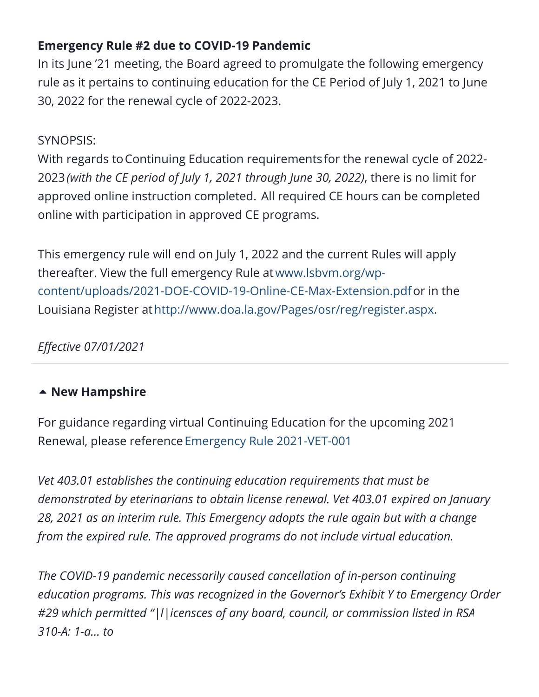#### **Emergency Rule #2 due to COVID-19 Pandemic**

In its June '21 meeting, the Board agreed to promulgate the following emergency rule as it pertains to continuing education for the CE Period of July 1, 2021 to June 30, 2022 for the renewal cycle of 2022-2023.

#### SYNOPSIS:

With regards to Continuing Education requirements for the renewal cycle of 2022-2023*(with the CE period of July 1, 2021 through June 30, 2022)*, there is no limit for approved online instruction completed. All required CE hours can be completed online with participation in approved CE programs.

This emergency rule will end on July 1, 2022 and the current Rules will apply thereafter. View the full emergency Rule atwww.lsbvm.org/wp[content/uploads/2021-DOE-COVID-19-Online-CE-Max-Extension.pdf](https://www.lsbvm.org/wp-content/uploads/2021-DOE-COVID-19-Online-CE-Max-Extension.pdf) or in the Louisiana Register at<http://www.doa.la.gov/Pages/osr/reg/register.aspx>.

*Effective 07/01/2021*

#### **[New Hampshire](https://aavsbmemberservices.org/august-2021-conventional/?preview_id=4135&preview_nonce=c4a7e6e37c&preview=true)**

For guidance regarding virtual Continuing Education for the upcoming 2021 Renewal, please reference [Emergency Rule 2021-VET-001](https://www.oplc.nh.gov/sites/g/files/ehbemt441/files/inline-documents/sonh/veterinary-2021-001-emergency-rule.pdf)

*Vet 403.01 establishes the continuing education requirements that must be demonstrated by eterinarians to obtain license renewal. Vet 403.01 expired on January 28, 2021 as an interim rule. This Emergency adopts the rule again but with a change from the expired rule. The approved programs do not include virtual education.*

*The COVID-19 pandemic necessarily caused cancellation of in-person continuing education programs. This was recognized in the Governor's Exhibit Y to Emergency Order #29 which permitted "|l|icensces of any board, council, or commission listed in RS[A](#page--1-0) 310-A: 1-a… to*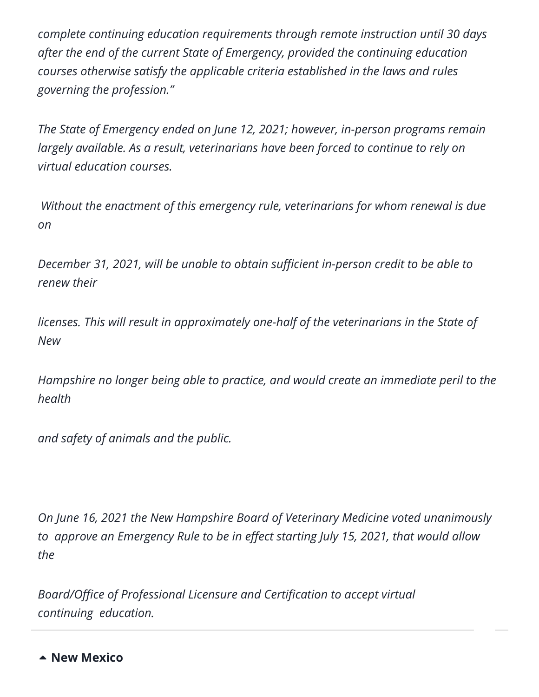*complete continuing education requirements through remote instruction until 30 days after the end of the current State of Emergency, provided the continuing education courses otherwise satisfy the applicable criteria established in the laws and rules governing the profession."*

*The State of Emergency ended on June 12, 2021; however, in-person programs remain largely available. As a result, veterinarians have been forced to continue to rely on virtual education courses.*

*Without the enactment of this emergency rule, veterinarians for whom renewal is due on* 

*December 31, 2021, will be unable to obtain sufficient in-person credit to be able to renew their* 

*licenses. This will result in approximately one-half of the veterinarians in the State of New* 

*Hampshire no longer being able to practice, and would create an immediate peril to the health* 

*and safety of animals and the public.*

*On June 16, 2021 the New Hampshire Board of Veterinary Medicine voted unanimously to approve an Emergency Rule to be in effect starting July 15, 2021, that would allow the* 

*Board/Office of Professional Licensure and Certification to accept virtual continuing education.*

**[New Mexico](https://aavsbmemberservices.org/august-2021-conventional/?preview_id=4135&preview_nonce=c4a7e6e37c&preview=true)**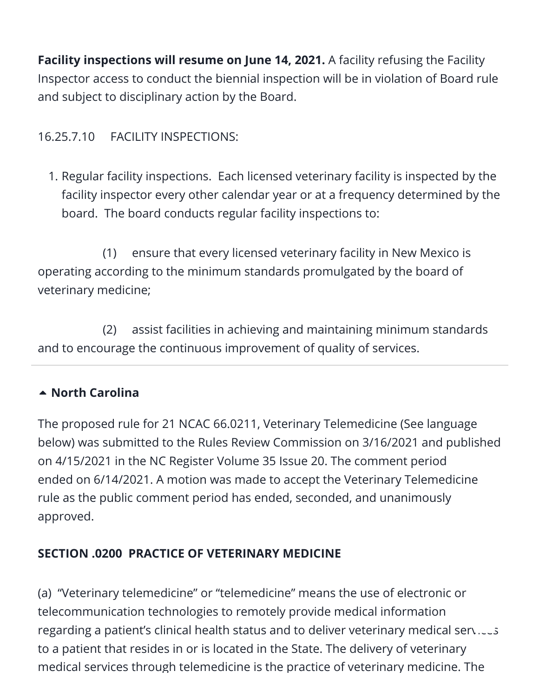**Facility inspections will resume on June 14, 2021.** A facility refusing the Facility Inspector access to conduct the biennial inspection will be in violation of Board rule and subject to disciplinary action by the Board.

#### 16.25.7.10 FACILITY INSPECTIONS:

1. Regular facility inspections. Each licensed veterinary facility is inspected by the facility inspector every other calendar year or at a frequency determined by the board. The board conducts regular facility inspections to:

 (1) ensure that every licensed veterinary facility in New Mexico is operating according to the minimum standards promulgated by the board of veterinary medicine;

 (2) assist facilities in achieving and maintaining minimum standards and to encourage the continuous improvement of quality of services.

#### **[North Carolina](https://aavsbmemberservices.org/august-2021-conventional/?preview_id=4135&preview_nonce=c4a7e6e37c&preview=true)**

The proposed rule for 21 NCAC 66.0211, Veterinary Telemedicine (See language below) was submitted to the Rules Review Commission on 3/16/2021 and published on 4/15/2021 in the NC Register Volume 35 Issue 20. The comment period ended on 6/14/2021. A motion was made to accept the Veterinary Telemedicine rule as the public comment period has ended, seconded, and unanimously approved.

#### **SECTION .0200 PRACTICE OF VETERINARY MEDICINE**

(a) "Veterinary telemedicine" or "telemedicine" means the use of electronic or telecommunication technologies to remotely provide medical information regarding a patient's clinical health status and to deliver veterinary medical ser[vices](#page--1-0) to a patient that resides in or is located in the State. The delivery of veterinary medical services through telemedicine is the practice of veterinary medicine. The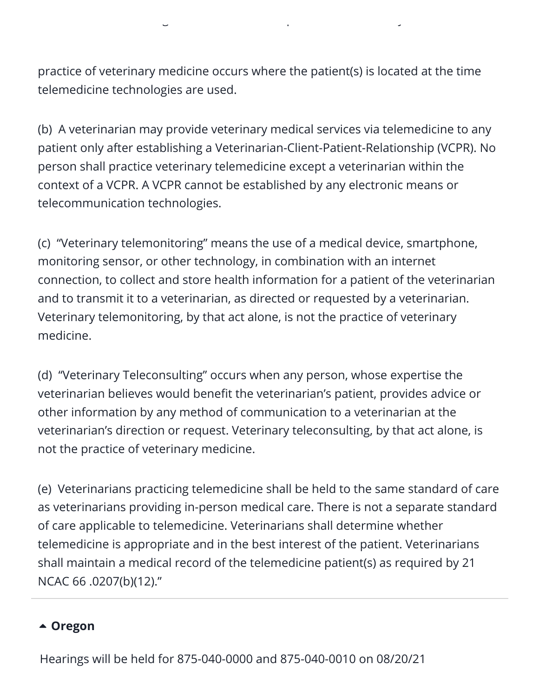practice of veterinary medicine occurs where the patient(s) is located at the time telemedicine technologies are used.

g p y

(b) A veterinarian may provide veterinary medical services via telemedicine to any patient only after establishing a Veterinarian-Client-Patient-Relationship (VCPR). No person shall practice veterinary telemedicine except a veterinarian within the context of a VCPR. A VCPR cannot be established by any electronic means or telecommunication technologies.

(c) "Veterinary telemonitoring" means the use of a medical device, smartphone, monitoring sensor, or other technology, in combination with an internet connection, to collect and store health information for a patient of the veterinarian and to transmit it to a veterinarian, as directed or requested by a veterinarian. Veterinary telemonitoring, by that act alone, is not the practice of veterinary medicine.

(d) "Veterinary Teleconsulting" occurs when any person, whose expertise the veterinarian believes would benefit the veterinarian's patient, provides advice or other information by any method of communication to a veterinarian at the veterinarian's direction or request. Veterinary teleconsulting, by that act alone, is not the practice of veterinary medicine.

(e) Veterinarians practicing telemedicine shall be held to the same standard of care as veterinarians providing in-person medical care. There is not a separate standard of care applicable to telemedicine. Veterinarians shall determine whether telemedicine is appropriate and in the best interest of the patient. Veterinarians shall maintain a medical record of the telemedicine patient(s) as required by 21 NCAC 66 .0207(b)(12)."

#### **[Oregon](https://aavsbmemberservices.org/august-2021-conventional/?preview_id=4135&preview_nonce=c4a7e6e37c&preview=true)**

Hearings will be held for 875-040-0000 and 875-040-0010 on 08/20/21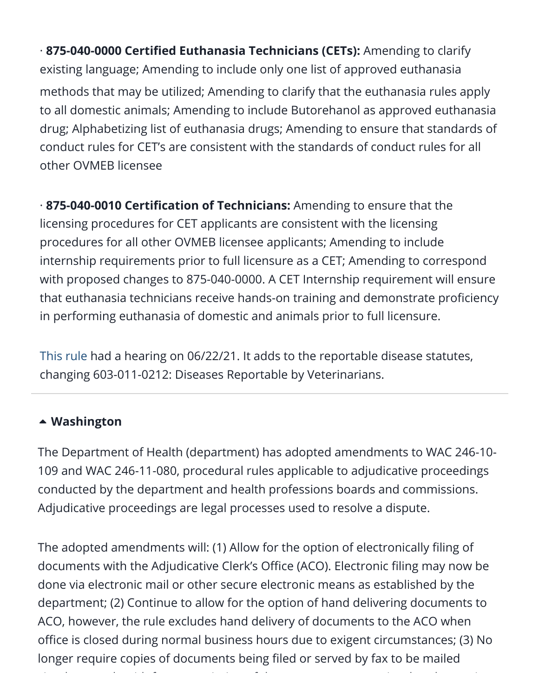· **875-040-0000 Certified Euthanasia Technicians (CETs):** Amending to clarify existing language; Amending to include only one list of approved euthanasia methods that may be utilized; Amending to clarify that the euthanasia rules apply to all domestic animals; Amending to include Butorehanol as approved euthanasia drug; Alphabetizing list of euthanasia drugs; Amending to ensure that standards of conduct rules for CET's are consistent with the standards of conduct rules for all other OVMEB licensee

· **875-040-0010 Certification of Technicians:** Amending to ensure that the licensing procedures for CET applicants are consistent with the licensing procedures for all other OVMEB licensee applicants; Amending to include internship requirements prior to full licensure as a CET; Amending to correspond with proposed changes to 875-040-0000. A CET Internship requirement will ensure that euthanasia technicians receive hands-on training and demonstrate proficiency in performing euthanasia of domestic and animals prior to full licensure.

[This rule](https://mcusercontent.com/8803d22e60e2b71e87f248b1d/files/d099acfa-e718-68e5-2a94-63779e1245b8/Notice_of_Proposed_Rule_Reportable_Diseases.pdf) had a hearing on 06/22/21. It adds to the reportable disease statutes, changing 603-011-0212: Diseases Reportable by Veterinarians.

#### **[Washington](https://aavsbmemberservices.org/august-2021-conventional/?preview_id=4135&preview_nonce=c4a7e6e37c&preview=true)**

The Department of Health (department) has adopted amendments to WAC 246-10- 109 and WAC 246-11-080, procedural rules applicable to adjudicative proceedings conducted by the department and health professions boards and commissions. Adjudicative proceedings are legal processes used to resolve a dispute.

The adopted amendments will: (1) Allow for the option of electronically filing of documents with the Adjudicative Clerk's Office (ACO). Electronic filing may now be done via electronic mail or other secure electronic means as established by the department; (2) Continue to allow for the option of hand delivering documents to ACO, however, [the](#page--1-0) rule excludes hand delivery of documents to the ACO when office is closed during normal business hours due to exigent circumstances; (3) No longer require copies of documents being filed or served by fax to be mailed

i l l i h f i i f d i h h i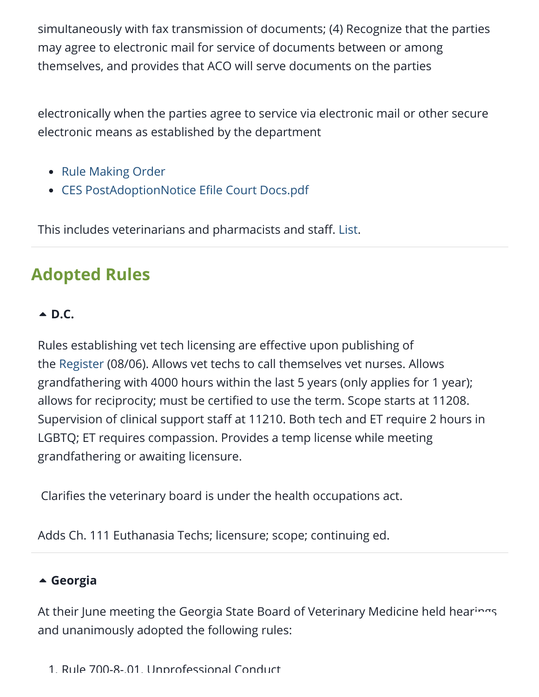simultaneously with fax transmission of documents; (4) Recognize that the parties may agree to electronic mail for service of documents between or among themselves, and provides that ACO will serve documents on the parties

electronically when the parties agree to service via electronic mail or other secure electronic means as established by the department

- [Rule Making Order](https://animalpolicygroup.sharepoint.com/sites/APGGeneralBusiness/Shared%20Documents/General/State%20and%20Local%20Tracking%20(SALT)/AAVSB/21131221efilecourtdocs103final.pdf)
- [CES PostAdoptionNotice Efile Court Docs.pdf](https://lnks.gd/l/eyJhbGciOiJIUzI1NiJ9.eyJidWxsZXRpbl9saW5rX2lkIjoxMDEsInVyaSI6ImJwMjpjbGljayIsImJ1bGxldGluX2lkIjoiMjAyMTA3MDkuNDMwMTk1MzEiLCJ1cmwiOiJodHRwczovL2NvbnRlbnQuZ292ZGVsaXZlcnkuY29tL2F0dGFjaG1lbnRzL1dBRE9ILzIwMjEvMDcvMDkvZmlsZV9hdHRhY2htZW50cy8xODc1MzcwL0NFUyUyMFBvc3RBZG9wdGlvbk5vdGljZSUyMEVmaWxlJTIwQ291cnQlMjBEb2NzLnBkZiJ9.zm1C4Gfwh_KcFznof1WdMUB5gG9aYUDKzYLsJcdGM3c/s/1113554392/br/109102797885-l)

This includes veterinarians and pharmacists and staff. [List](https://www.doh.wa.gov/LicensesPermitsandCertificates/ProfessionsNewReneworUpdate/HealthcareProfessionalCredentialingRequirements).

### **Adopted Rules**

#### **[D.C.](https://aavsbmemberservices.org/august-2021-conventional/?preview_id=4135&preview_nonce=c4a7e6e37c&preview=true)**

Rules establishing vet tech licensing are effective upon publishing of the [Register](https://www.dcregs.dc.gov/Common/DCR/Issues/IssueDetailPage.aspx?issueID=886) (08/06). Allows vet techs to call themselves vet nurses. Allows grandfathering with 4000 hours within the last 5 years (only applies for 1 year); allows for reciprocity; must be certified to use the term. Scope starts at 11208. Supervision of clinical support staff at 11210. Both tech and ET require 2 hours in LGBTQ; ET requires compassion. Provides a temp license while meeting grandfathering or awaiting licensure.

Clarifies the veterinary board is under the health occupations act.

Adds Ch. 111 Euthanasia Techs; licensure; scope; continuing ed.

#### **[Georgia](https://aavsbmemberservices.org/august-2021-conventional/?preview_id=4135&preview_nonce=c4a7e6e37c&preview=true)**

At their June meeting the Georgia State Board of Veterinary Medicine held hea[rings](#page--1-0) and unanimously adopted the following rules:

1. Rule 700-8-.01. Unprofessional Conduct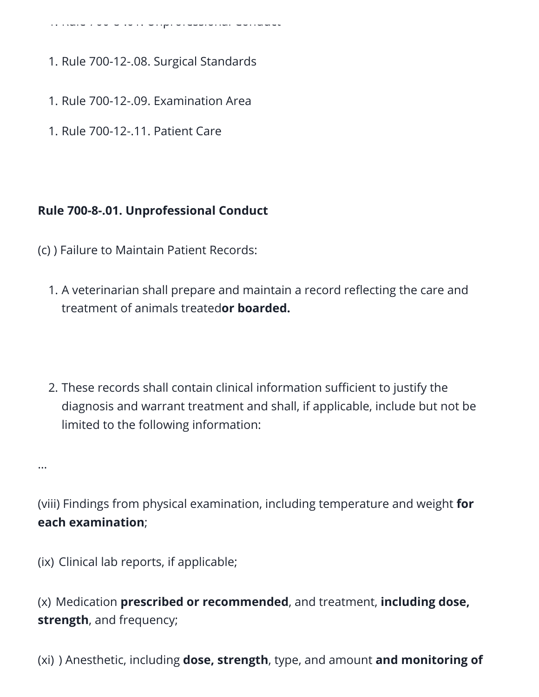1. Rule 700 8 .01. Unprofessional Conduct

- 1. Rule 700-12-.08. Surgical Standards
- 1. Rule 700-12-.09. Examination Area
- 1. Rule 700-12-.11. Patient Care

#### **Rule 700-8-.01. Unprofessional Conduct**

- (c) ) Failure to Maintain Patient Records:
	- 1. A veterinarian shall prepare and maintain a record reflecting the care and treatment of animals treated**or boarded.**
	- 2. These records shall contain clinical information sufficient to justify the diagnosis and warrant treatment and shall, if applicable, include but not be limited to the following information:

…

(viii) Findings from physical examination, including temperature and weight **for each examination**;

(ix) Clinical lab reports, if applicable;

(x) Medication **prescribed or recommended**, and treatment, **including dose, strength**, and frequency;

(xi) ) Anesthetic, including **dose, strength**, type, and amount **and monitoring of**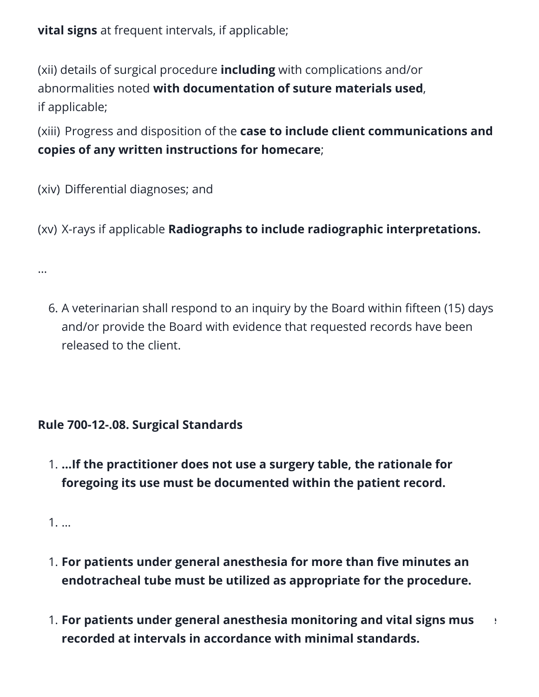**vital signs** at frequent intervals, if applicable;

(xii) details of surgical procedure **including** with complications and/or abnormalities noted **with documentation of suture materials used**, if applicable;

(xiii) Progress and disposition of the **case to include client communications and copies of any written instructions for homecare**;

(xiv) Differential diagnoses; and

(xv) X-rays if applicable **Radiographs to include radiographic interpretations.** 

6. A veterinarian shall respond to an inquiry by the Board within fifteen (15) days and/or provide the Board with evidence that requested records have been released to the client.

#### **Rule 700-12-.08. Surgical Standards**

1. **…If the practitioner does not use a surgery table, the rationale for foregoing its use must be documented within the patient record.**

1. …

…

- 1. **For patients under general anesthesia for more than five minutes an endotracheal tube must be utilized as appropriate for the procedure.**
- 1. **For patients under general anesthesia monitoring and vital signs mu[st be](#page--1-0) recorded at intervals in accordance with minimal standards.**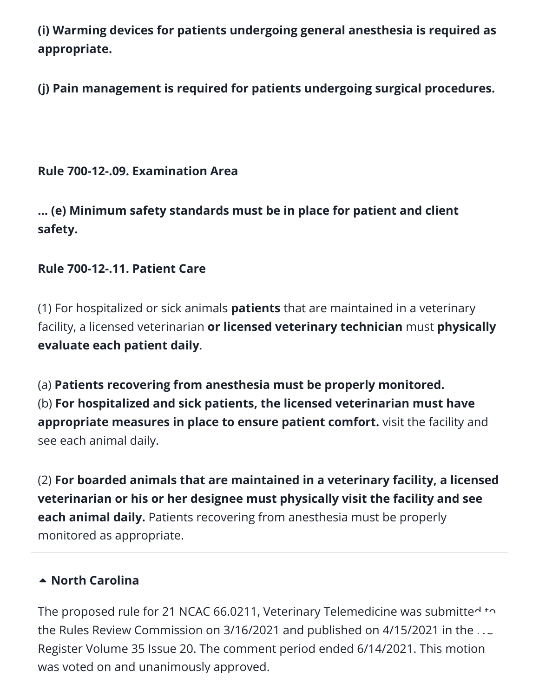**(i) Warming devices for patients undergoing general anesthesia is required as appropriate.** 

**(j) Pain management is required for patients undergoing surgical procedures.**

#### **Rule 700-12-.09. Examination Area**

**… (e) Minimum safety standards must be in place for patient and client safety.** 

#### **Rule 700-12-.11. Patient Care**

(1) For hospitalized or sick animals **patients** that are maintained in a veterinary facility, a licensed veterinarian **or licensed veterinary technician** must **physically evaluate each patient daily**.

(a) **Patients recovering from anesthesia must be properly monitored.** (b) **For hospitalized and sick patients, the licensed veterinarian must have appropriate measures in place to ensure patient comfort.** visit the facility and see each animal daily.

(2) **For boarded animals that are maintained in a veterinary facility, a licensed veterinarian or his or her designee must physically visit the facility and see each animal daily.** Patients recovering from anesthesia must be properly monitored as appropriate.

#### **[North Carolina](https://aavsbmemberservices.org/august-2021-conventional/?preview_id=4135&preview_nonce=c4a7e6e37c&preview=true)**

The proposed rule for 21 NCAC 66.0211, Veterinary Telemedicine was submitted to the Rules Review Commission on 3/16/2021 and published on 4/15/2021 in the  $\ldots$ Register Volume 35 Issue 20. The comment period ended 6/14/2021. This motion was voted on and unanimously approved.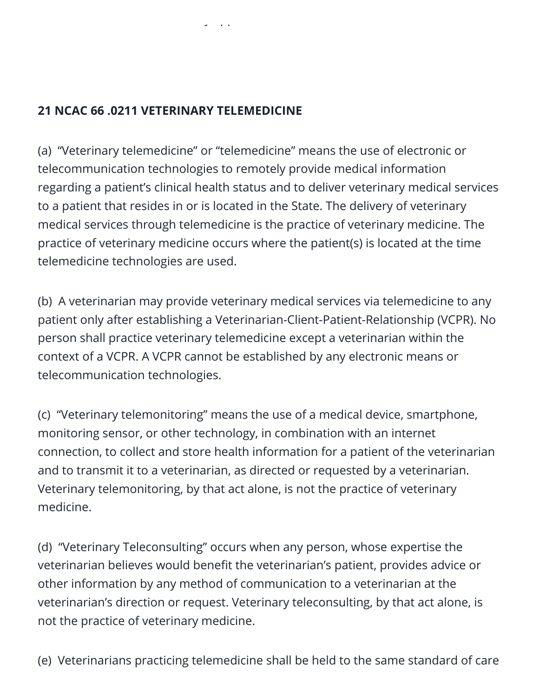#### **21 NCAC 66 .0211 VETERINARY TELEMEDICINE**

y pp

(a) "Veterinary telemedicine" or "telemedicine" means the use of electronic or telecommunication technologies to remotely provide medical information regarding a patient's clinical health status and to deliver veterinary medical services to a patient that resides in or is located in the State. The delivery of veterinary medical services through telemedicine is the practice of veterinary medicine. The practice of veterinary medicine occurs where the patient(s) is located at the time telemedicine technologies are used.

(b) A veterinarian may provide veterinary medical services via telemedicine to any patient only after establishing a Veterinarian-Client-Patient-Relationship (VCPR). No person shall practice veterinary telemedicine except a veterinarian within the context of a VCPR. A VCPR cannot be established by any electronic means or telecommunication technologies.

(c) "Veterinary telemonitoring" means the use of a medical device, smartphone, monitoring sensor, or other technology, in combination with an internet connection, to collect and store health information for a patient of the veterinarian and to transmit it to a veterinarian, as directed or requested by a veterinarian. Veterinary telemonitoring, by that act alone, is not the practice of veterinary medicine.

(d) "Veterinary Teleconsulting" occurs when any person, whose expertise the veterinarian believes would benefit the veterinarian's patient, provides advice or other information by any method of communication to a veterinarian at the veterinarian's direction or request. Veterinary teleconsulting, by that act alone, is not the practice of veterinary medicine.

(e) Veterinarians practicing telemedicine shall be held to the same standard of care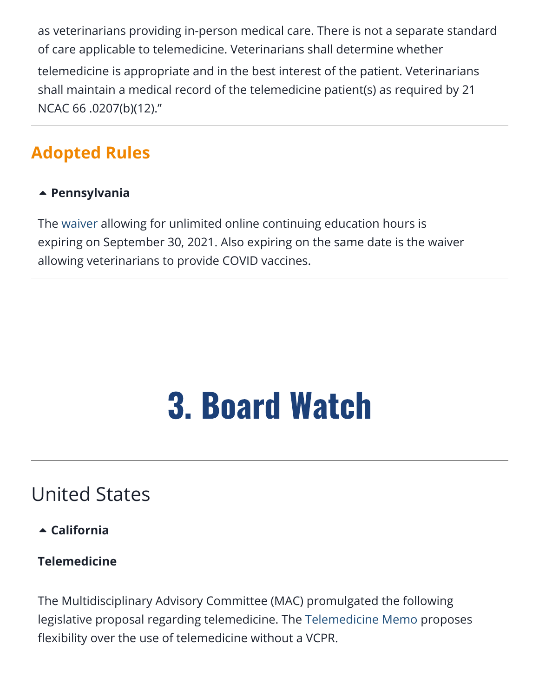as veterinarians providing in-person medical care. There is not a separate standard of care applicable to telemedicine. Veterinarians shall determine whether telemedicine is appropriate and in the best interest of the patient. Veterinarians shall maintain a medical record of the telemedicine patient(s) as required by 21 NCAC 66 .0207(b)(12)."

### **Adopted Rules**

#### **[Pennsylvania](https://aavsbmemberservices.org/august-2021-conventional/?preview_id=4135&preview_nonce=c4a7e6e37c&preview=true)**

The [waiver](https://www.dos.pa.gov/Documents/2020-03-22-Continuing-Education-Suspensions.pdf) allowing for unlimited online continuing education hours is expiring on September 30, 2021. Also expiring on the same date is the waiver allowing veterinarians to provide COVID vaccines.

## 3. Board Watch

### <span id="page-17-0"></span>United States

**[California](https://aavsbmemberservices.org/august-2021-conventional/?preview_id=4135&preview_nonce=c4a7e6e37c&preview=true)**

#### **Telemedicine**

The Multidisciplinary Advisory Committee (MAC) promulgated the following legislative proposal regarding telemedicine. The [Telemedicine Memo](https://www.vmb.ca.gov/meetings/materials/20210721_mdc_5.pdf) proposes flexibility over the use of telemedicine without a VCPR.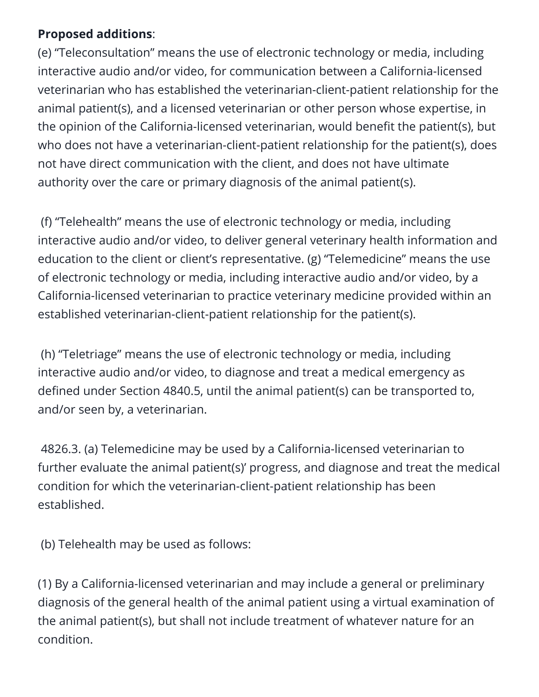#### **Proposed additions**:

(e) "Teleconsultation" means the use of electronic technology or media, including interactive audio and/or video, for communication between a California-licensed veterinarian who has established the veterinarian-client-patient relationship for the animal patient(s), and a licensed veterinarian or other person whose expertise, in the opinion of the California-licensed veterinarian, would benefit the patient(s), but who does not have a veterinarian-client-patient relationship for the patient(s), does not have direct communication with the client, and does not have ultimate authority over the care or primary diagnosis of the animal patient(s).

(f) "Telehealth" means the use of electronic technology or media, including interactive audio and/or video, to deliver general veterinary health information and education to the client or client's representative. (g) "Telemedicine" means the use of electronic technology or media, including interactive audio and/or video, by a California-licensed veterinarian to practice veterinary medicine provided within an established veterinarian-client-patient relationship for the patient(s).

(h) "Teletriage" means the use of electronic technology or media, including interactive audio and/or video, to diagnose and treat a medical emergency as defined under Section 4840.5, until the animal patient(s) can be transported to, and/or seen by, a veterinarian.

4826.3. (a) Telemedicine may be used by a California-licensed veterinarian to further evaluate the animal patient(s)' progress, and diagnose and treat the medical condition for which the veterinarian-client-patient relationship has been established.

(b) Telehealth may be used as follows:

(1) By a California-licensed veterinarian and may include a general or preliminary diagnosis of the general health of the animal patient using a virtual examination of the animal patient(s), but shall not include treatment of whatever nature for an condition.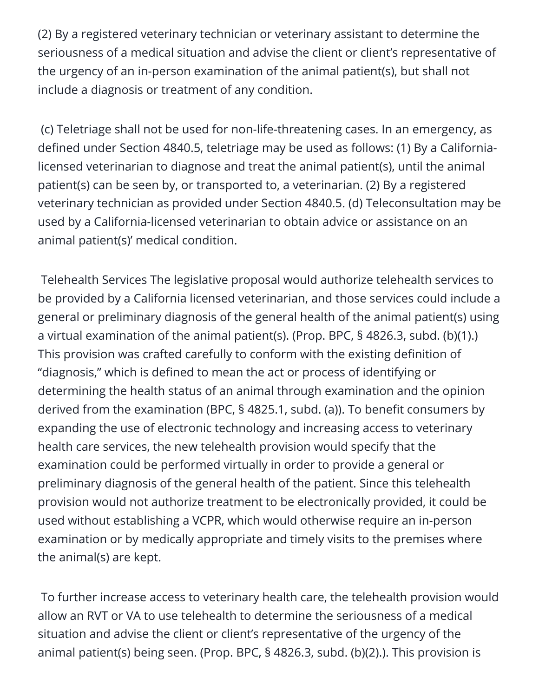(2) By a registered veterinary technician or veterinary assistant to determine the seriousness of a medical situation and advise the client or client's representative of the urgency of an in-person examination of the animal patient(s), but shall not include a diagnosis or treatment of any condition.

(c) Teletriage shall not be used for non-life-threatening cases. In an emergency, as defined under Section 4840.5, teletriage may be used as follows: (1) By a Californialicensed veterinarian to diagnose and treat the animal patient(s), until the animal patient(s) can be seen by, or transported to, a veterinarian. (2) By a registered veterinary technician as provided under Section 4840.5. (d) Teleconsultation may be used by a California-licensed veterinarian to obtain advice or assistance on an animal patient(s)' medical condition.

Telehealth Services The legislative proposal would authorize telehealth services to be provided by a California licensed veterinarian, and those services could include a general or preliminary diagnosis of the general health of the animal patient(s) using a virtual examination of the animal patient(s). (Prop. BPC, § 4826.3, subd. (b)(1).) This provision was crafted carefully to conform with the existing definition of "diagnosis," which is defined to mean the act or process of identifying or determining the health status of an animal through examination and the opinion derived from the examination (BPC, § 4825.1, subd. (a)). To benefit consumers by expanding the use of electronic technology and increasing access to veterinary health care services, the new telehealth provision would specify that the examination could be performed virtually in order to provide a general or preliminary diagnosis of the general health of the patient. Since this telehealth provision would not authorize treatment to be electronically provided, it could be used without establishing a VCPR, which would otherwise require an in-person examination or by medically appropriate and timely visits to the premises where the animal(s) are kept.

To further increase access to veterinary health care, the telehealth provision would allow an RVT or VA to use telehealth to determine the seriousness of a medical situation and advise the client or client's representative of the urgency of the animal patient(s) being seen. (Prop. BPC, § 4826.3, subd. (b)(2).). This provision is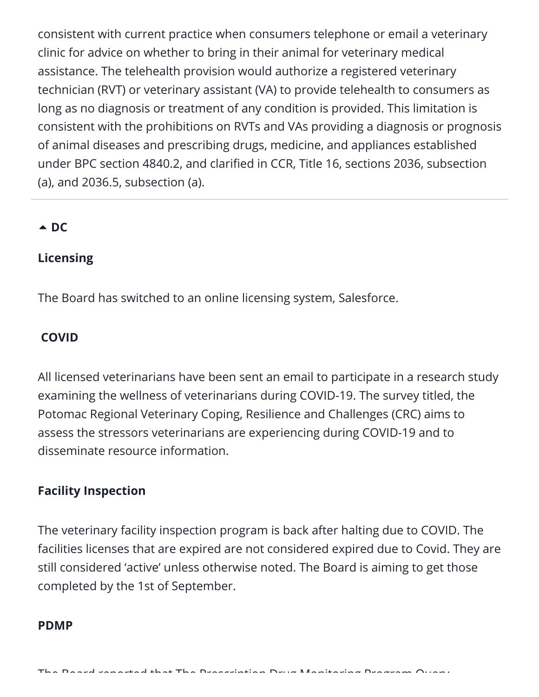consistent with current practice when consumers telephone or email a veterinary clinic for advice on whether to bring in their animal for veterinary medical assistance. The telehealth provision would authorize a registered veterinary technician (RVT) or veterinary assistant (VA) to provide telehealth to consumers as long as no diagnosis or treatment of any condition is provided. This limitation is consistent with the prohibitions on RVTs and VAs providing a diagnosis or prognosis of animal diseases and prescribing drugs, medicine, and appliances established under BPC section 4840.2, and clarified in CCR, Title 16, sections 2036, subsection (a), and 2036.5, subsection (a).

#### $\triangle$  [DC](https://aavsbmemberservices.org/august-2021-conventional/?preview_id=4135&preview_nonce=c4a7e6e37c&preview=true)

#### **Licensing**

The Board has switched to an online licensing system, Salesforce.

#### **COVID**

All licensed veterinarians have been sent an email to participate in a research study examining the wellness of veterinarians during COVID-19. The survey titled, the Potomac Regional Veterinary Coping, Resilience and Challenges (CRC) aims to assess the stressors veterinarians are experiencing during COVID-19 and to disseminate resource information.

#### **Facility Inspection**

The veterinary facility inspection program is back after halting due to COVID. The facilities licenses that are expired are not considered expired due to Covid. They are still considered 'active' unless otherwise noted. The Board is aiming to get those completed by the 1st of September.

#### **PDMP**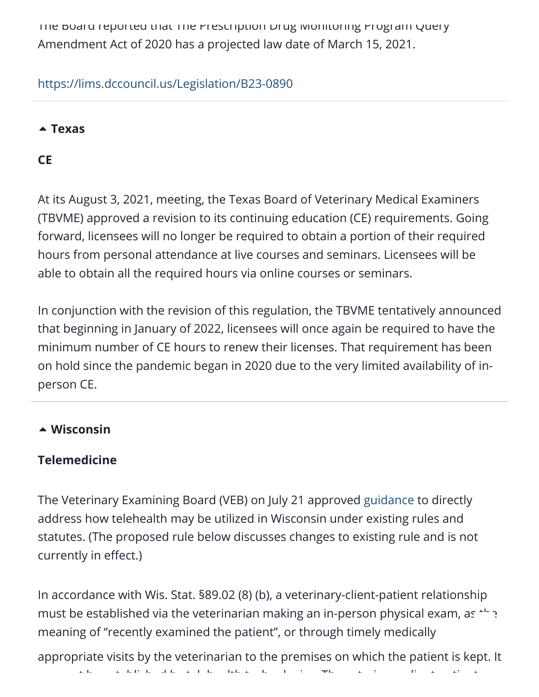The Board reported that The Prescription Drug Monitoring Program Query Amendment Act of 2020 has a projected law date of March 15, 2021.

#### <https://lims.dccouncil.us/Legislation/B23-0890>

#### **[Texas](https://aavsbmemberservices.org/august-2021-conventional/?preview_id=4135&preview_nonce=c4a7e6e37c&preview=true)**

#### **CE**

At its August 3, 2021, meeting, the Texas Board of Veterinary Medical Examiners (TBVME) approved a revision to its continuing education (CE) requirements. Going forward, licensees will no longer be required to obtain a portion of their required hours from personal attendance at live courses and seminars. Licensees will be able to obtain all the required hours via online courses or seminars.

In conjunction with the revision of this regulation, the TBVME tentatively announced that beginning in January of 2022, licensees will once again be required to have the minimum number of CE hours to renew their licenses. That requirement has been on hold since the pandemic began in 2020 due to the very limited availability of inperson CE.

#### **[Wisconsin](https://aavsbmemberservices.org/august-2021-conventional/?preview_id=4135&preview_nonce=c4a7e6e37c&preview=true)**

#### **Telemedicine**

The Veterinary Examining Board (VEB) on July 21 approved [guidance](https://datcp.wi.gov/Documents2/VEBTelehealth.pdf) to directly address how telehealth may be utilized in Wisconsin under existing rules and statutes. (The proposed rule below discusses changes to existing rule and is not currently in effect.)

In accordance with Wis. Stat. §89.02 (8) (b), a veterinary-client-patient relationship must be established via the veterinarian making an in-person physical exam, as  $+$ meaning of "recently examined the patient", or through timely medically

appropriate visits by the veterinarian to the premises on which the patient is kept. It

t b t bli h d b t l h lth t h l i Th t i li t ti t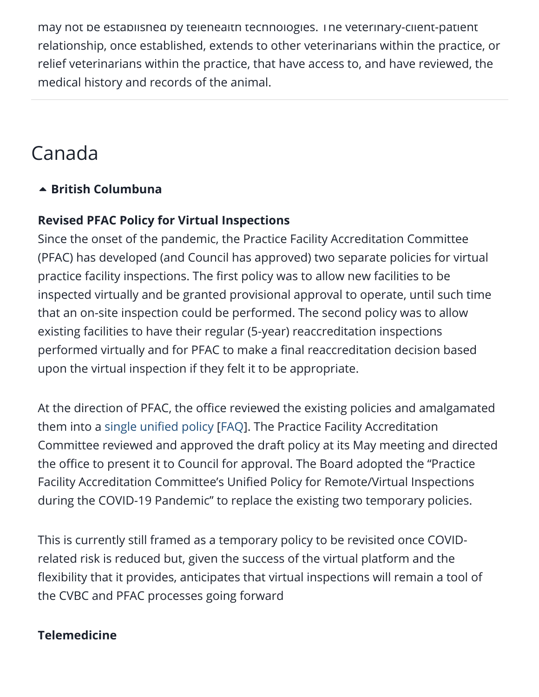may not be established by telehealth technologies. The veterinary-client-patient relationship, once established, extends to other veterinarians within the practice, or relief veterinarians within the practice, that have access to, and have reviewed, the medical history and records of the animal.

### Canada

#### **[British Columbuna](https://aavsbmemberservices.org/august-2021-conventional/?preview_id=4135&preview_nonce=c4a7e6e37c&preview=true)**

#### **Revised PFAC Policy for Virtual Inspections**

Since the onset of the pandemic, the Practice Facility Accreditation Committee (PFAC) has developed (and Council has approved) two separate policies for virtual practice facility inspections. The first policy was to allow new facilities to be inspected virtually and be granted provisional approval to operate, until such time that an on-site inspection could be performed. The second policy was to allow existing facilities to have their regular (5-year) reaccreditation inspections performed virtually and for PFAC to make a final reaccreditation decision based upon the virtual inspection if they felt it to be appropriate.

At the direction of PFAC, the office reviewed the existing policies and amalgamated them into a [single unified policy](https://cvbc.ca/wp-content/uploads/2021/07/Unified-Policy-for-Remote-Virtual-Inspections-during-the-COVID-19-Pandemic.pdf) [[FAQ\]](https://cvbc.ca/wp-content/uploads/2021/07/FAQ-for-the-Unified-Policy-for-Remote-Virtual-Inspections-during-the-COVID-19-Pandemic.pdf). The Practice Facility Accreditation Committee reviewed and approved the draft policy at its May meeting and directed the office to present it to Council for approval. The Board adopted the "Practice Facility Accreditation Committee's Unified Policy for Remote/Virtual Inspections during the COVID-19 Pandemic" to replace the existing two temporary policies.

This is currently still framed as a temporary policy to be revisited once COVIDrelated risk is reduced but, given the success of the virtual platform and the flexibility that it provides, anticipates that virtual inspections will remain a tool of the CVBC and PFAC processes going forward

#### **Telemedicine**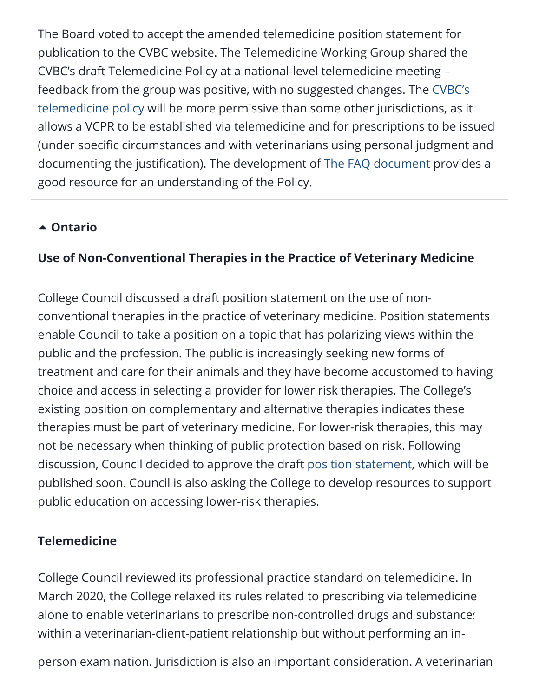The Board voted to accept the amended telemedicine position statement for publication to the CVBC website. The Telemedicine Working Group shared the CVBC's draft Telemedicine Policy at a national-level telemedicine meeting – feedback from the group was positive, with no suggested changes. The CVBC's [telemedicine policy will be more permissive than some other jurisdictions, as it](https://cvbc.ca/wp-content/uploads/2021/07/CVBC-Guidelines-Update-Telemedicine-July-2021-FINAL-for-posting.pdf) allows a VCPR to be established via telemedicine and for prescriptions to be issued (under specific circumstances and with veterinarians using personal judgment and documenting the justification). The development of [The FAQ document](https://cvbc.ca/wp-content/uploads/2021/07/CVBC-Telemedicine-FAQs-July-2021.pdf) provides a good resource for an understanding of the Policy.

#### **[Ontario](https://aavsbmemberservices.org/august-2021-conventional/?preview_id=4135&preview_nonce=c4a7e6e37c&preview=true)**

#### **Use of Non-Conventional Therapies in the Practice of Veterinary Medicine**

College Council discussed a draft position statement on the use of nonconventional therapies in the practice of veterinary medicine. Position statements enable Council to take a position on a topic that has polarizing views within the public and the profession. The public is increasingly seeking new forms of treatment and care for their animals and they have become accustomed to having choice and access in selecting a provider for lower risk therapies. The College's existing position on complementary and alternative therapies indicates these therapies must be part of veterinary medicine. For lower-risk therapies, this may not be necessary when thinking of public protection based on risk. Following discussion, Council decided to approve the draft [position statement](https://cvo.org/getmedia/856393a8-5b15-4288-b6aa-c11649fef53d/PS_NonConventionalTherapies.pdf.aspx), which will be published soon. Council is also asking the College to develop resources to support public education on accessing lower-risk therapies.

#### **Telemedicine**

College Council reviewed its professional practice standard on telemedicine. In March 2020, the College relaxed its rules related to prescribing via telemedicine alone to enable veterinarian[s](#page--1-0) to prescribe non-controlled drugs and substances within a veterinarian-client-patient relationship but without performing an in-

person examination. Jurisdiction is also an important consideration. A veterinarian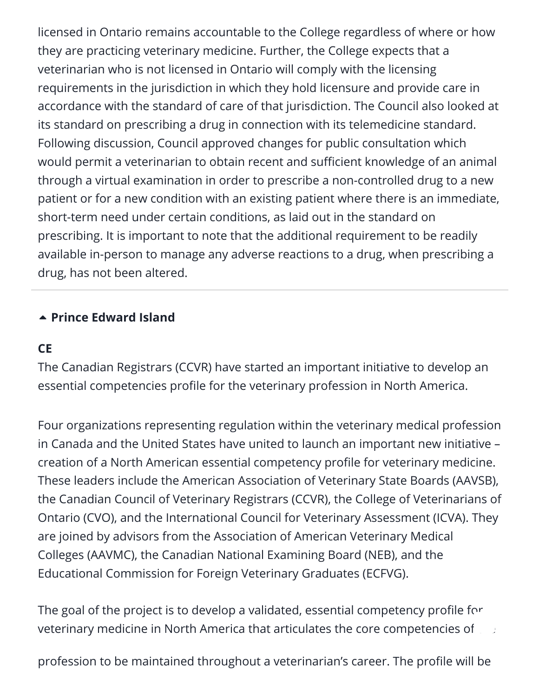licensed in Ontario remains accountable to the College regardless of where or how they are practicing veterinary medicine. Further, the College expects that a veterinarian who is not licensed in Ontario will comply with the licensing requirements in the jurisdiction in which they hold licensure and provide care in accordance with the standard of care of that jurisdiction. The Council also looked at its standard on prescribing a drug in connection with its telemedicine standard. Following discussion, Council approved changes for public consultation which would permit a veterinarian to obtain recent and sufficient knowledge of an animal through a virtual examination in order to prescribe a non-controlled drug to a new patient or for a new condition with an existing patient where there is an immediate, short-term need under certain conditions, as laid out in the standard on prescribing. It is important to note that the additional requirement to be readily available in-person to manage any adverse reactions to a drug, when prescribing a drug, has not been altered.

#### **[Prince Edward Island](https://aavsbmemberservices.org/august-2021-conventional/?preview_id=4135&preview_nonce=c4a7e6e37c&preview=true)**

#### **CE**

The Canadian Registrars (CCVR) have started an important initiative to develop an essential competencies profile for the veterinary profession in North America.

Four organizations representing regulation within the veterinary medical profession in Canada and the United States have united to launch an important new initiative – creation of a North American essential competency profile for veterinary medicine. These leaders include the American Association of Veterinary State Boards (AAVSB), the Canadian Council of Veterinary Registrars (CCVR), the College of Veterinarians of Ontario (CVO), and the International Council for Veterinary Assessment (ICVA). They are joined by advisors from the Association of American Veterinary Medical Colleges (AAVMC), the Canadian National Examining Board (NEB), and the Educational Commission for Foreign Veterinary Graduates (ECFVG).

The goal of the project is to develop a validated, essential competency profile for veterinary medicine in North America that articulates the core competencies of

profession to be maintained throughout a veterinarian's career. The profile will be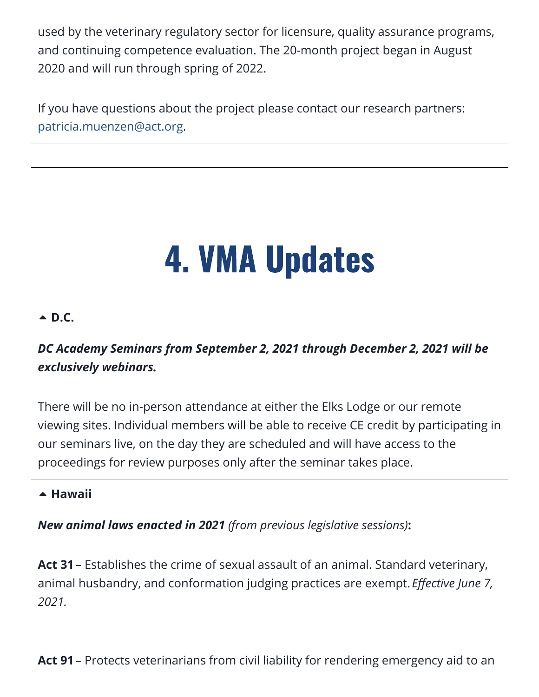used by the veterinary regulatory sector for licensure, quality assurance programs, and continuing competence evaluation. The 20-month project began in August 2020 and will run through spring of 2022.

If you have questions about the project please contact our research partners: [patricia.muenzen@act.org.](mailto:patricia.muenzen@act.org)

# 4. VMA Updates

#### <span id="page-25-0"></span>**[D.C.](https://aavsbmemberservices.org/august-2021-conventional/?preview_id=4135&preview_nonce=c4a7e6e37c&preview=true)**

#### *DC Academy Seminars from September 2, 2021 through December 2, 2021 will be exclusively webinars.*

There will be no in-person attendance at either the Elks Lodge or our remote viewing sites. Individual members will be able to receive CE credit by participating in our seminars live, on the day they are scheduled and will have access to the proceedings for review purposes only after the seminar takes place.

#### **▲ [Hawaii](https://aavsbmemberservices.org/august-2021-conventional/?preview_id=4135&preview_nonce=c4a7e6e37c&preview=true)**

*New animal laws enacted in 2021 (from previous legislative sessions)***:**

**Act 31**– Establishes the crime of sexual assault of an animal. Standard veterinary, animal husbandry, and conformation judging practices are exempt. *Effective June 7, 2021.*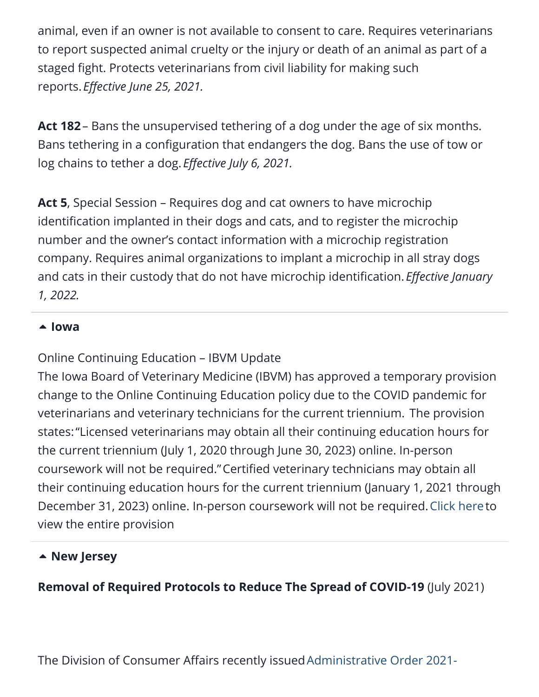animal, even if an owner is not available to consent to care. Requires veterinarians to report suspected animal cruelty or the injury or death of an animal as part of a staged fight. Protects veterinarians from civil liability for making such reports. *Effective June 25, 2021.*

**Act 182**– Bans the unsupervised tethering of a dog under the age of six months. Bans tethering in a configuration that endangers the dog. Bans the use of tow or log chains to tether a dog. *Effective July 6, 2021.*

**Act 5**, Special Session – Requires dog and cat owners to have microchip identification implanted in their dogs and cats, and to register the microchip number and the owner's contact information with a microchip registration company. Requires animal organizations to implant a microchip in all stray dogs and cats in their custody that do not have microchip identification. *Effective January 1, 2022.*

#### **[Iowa](https://aavsbmemberservices.org/august-2021-conventional/?preview_id=4135&preview_nonce=c4a7e6e37c&preview=true)**

#### Online Continuing Education – IBVM Update

The Iowa Board of Veterinary Medicine (IBVM) has approved a temporary provision change to the Online Continuing Education policy due to the COVID pandemic for veterinarians and veterinary technicians for the current triennium. The provision states:"Licensed veterinarians may obtain all their continuing education hours for the current triennium (July 1, 2020 through June 30, 2023) online. In-person coursework will not be required."Certified veterinary technicians may obtain all their continuing education hours for the current triennium (January 1, 2021 through December 31, 2023) online. In-person coursework will not be required. [Click here](https://www.iowavma.org/Files/COVID/Vet%20Board-Online%20CE%20Hours%20Policy%20Guidance-FINAL%20032621.pdf)to view the entire provision

#### **[New Jersey](https://aavsbmemberservices.org/august-2021-conventional/?preview_id=4135&preview_nonce=c4a7e6e37c&preview=true)**

#### **Removal of Required Protocols to Reduce The Spread of COVID-19** (July 2021)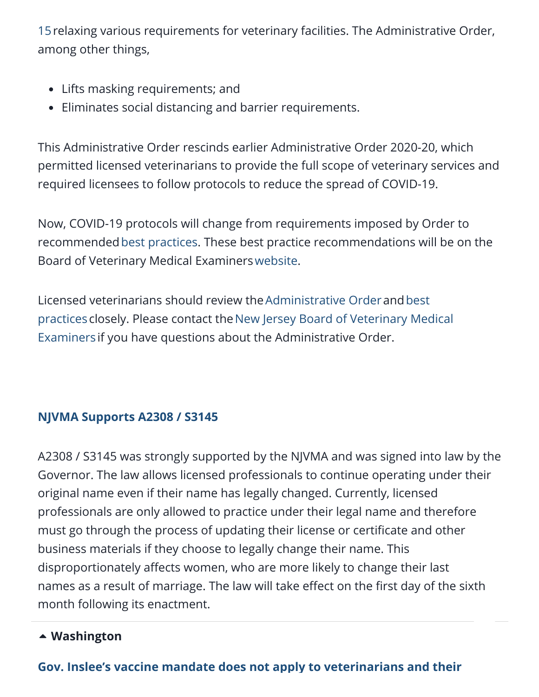[15relaxing various requirements for veterinary facilities. The Administrative](https://www.njconsumeraffairs.gov/COVID19/Documents/DCA-AO-2021-15-Rescinding-COVID-Restrictions-on-Veterinary-Offices.pdf) Order, among other things,

- Lifts masking requirements; and
- Eliminates social distancing and barrier requirements.

This Administrative Order rescinds earlier Administrative Order 2020-20, which permitted licensed veterinarians to provide the full scope of veterinary services and required licensees to follow protocols to reduce the spread of COVID-19.

Now, COVID-19 protocols will change from requirements imposed by Order to recommended[best practices.](https://www.njconsumeraffairs.gov/COVID19/Documents/COVID-19-Health-and-Safety-Recommendations-for-Veterinary-Practices.pdf) These best practice recommendations will be on the Board of Veterinary Medical Examiners[website](https://www.njconsumeraffairs.gov/vet/Pages/default.aspx).

[Licensed veterinarians should review the](https://www.njconsumeraffairs.gov/COVID19/Documents/COVID-19-Health-and-Safety-Recommendations-for-Veterinary-Practices.pdf) [Administrative Orde](https://www.njconsumeraffairs.gov/COVID19/Documents/DCA-AO-2021-15-Rescinding-COVID-Restrictions-on-Veterinary-Offices.pdf)[r](https://www.njconsumeraffairs.gov/COVID19/Documents/COVID-19-Health-and-Safety-Recommendations-for-Veterinary-Practices.pdf) and best practices closely. Please contact the New Jersey Board of Veterinary Medical Examiners if you have questions about the Administrative Order.

#### **[NJVMA Supports A2308 / S3145](https://njvma.org/page/LegislativeActivity_NJVMA)**

A2308 / S3145 was strongly supported by the NJVMA and was signed into law by the Governor. The law allows licensed professionals to continue operating under their original name even if their name has legally changed. Currently, licensed professionals are only allowed to practice under their legal name and therefore must go through the process of updating their license or certificate and other business materials if they choose to legally change their name. This disproportionately affects women, who are more likely to change their last names as a result of marriage. The law will take effect on the first day of the sixth month following its enactment.

#### **[Washington](https://aavsbmemberservices.org/august-2021-conventional/?preview_id=4135&preview_nonce=c4a7e6e37c&preview=true)**

#### **[Gov. Inslee's vaccine mandate does not apply to veterinarians and their](https://wsvma.org/2021/08/13/gov-inslees-vaccine-mandate-does-not-apply-to-veterinarians-and-their-teams-2/)**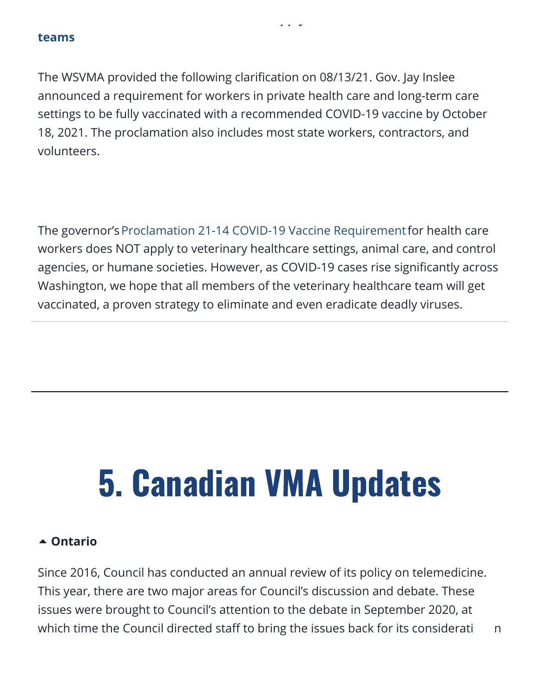#### **[teams](https://wsvma.org/2021/08/13/gov-inslees-vaccine-mandate-does-not-apply-to-veterinarians-and-their-teams-2/)**

The WSVMA provided the following clarification on 08/13/21. Gov. Jay Inslee announced a requirement for workers in private health care and long-term care settings to be fully vaccinated with a recommended COVID-19 vaccine by October 18, 2021. The proclamation also includes most state workers, contractors, and volunteers.

The governor's [Proclamation 21-14 COVID-19 Vaccine Requirement](https://wsvma.us20.list-manage.com/track/click?u=29f1beb052e4edff6c41d1747&id=aaf426ead8&e=5ac1746896) for health care workers does NOT apply to veterinary healthcare settings, animal care, and control agencies, or humane societies. However, as COVID-19 cases rise significantly across Washington, we hope that all members of the veterinary healthcare team will get vaccinated, a proven strategy to eliminate and even eradicate deadly viruses.

# <span id="page-28-0"></span>5. Canadian VMA Updates

#### **[Ontario](https://aavsbmemberservices.org/august-2021-conventional/?preview_id=4135&preview_nonce=c4a7e6e37c&preview=true)**

Since 2016, Council has conducted an annual review of its policy on telemedicine. This year, there are two major areas for Council's discussion and debate. These issues were brought to Council's attention to the debate in September 2020, at which time the Council directed staff to bring the issues back for its consideration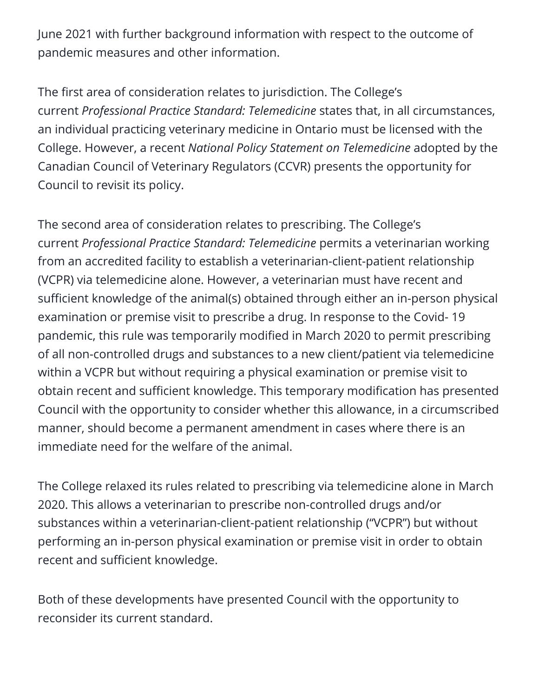June 2021 with further background information with respect to the outcome of pandemic measures and other information.

The first area of consideration relates to jurisdiction. The College's current *Professional Practice Standard: Telemedicine* states that, in all circumstances, an individual practicing veterinary medicine in Ontario must be licensed with the College. However, a recent *National Policy Statement on Telemedicine* adopted by the Canadian Council of Veterinary Regulators (CCVR) presents the opportunity for Council to revisit its policy.

The second area of consideration relates to prescribing. The College's current *Professional Practice Standard: Telemedicine* permits a veterinarian working from an accredited facility to establish a veterinarian-client-patient relationship (VCPR) via telemedicine alone. However, a veterinarian must have recent and sufficient knowledge of the animal(s) obtained through either an in-person physical examination or premise visit to prescribe a drug. In response to the Covid- 19 pandemic, this rule was temporarily modified in March 2020 to permit prescribing of all non-controlled drugs and substances to a new client/patient via telemedicine within a VCPR but without requiring a physical examination or premise visit to obtain recent and sufficient knowledge. This temporary modification has presented Council with the opportunity to consider whether this allowance, in a circumscribed manner, should become a permanent amendment in cases where there is an immediate need for the welfare of the animal.

The College relaxed its rules related to prescribing via telemedicine alone in March 2020. This allows a veterinarian to prescribe non-controlled drugs and/or substances within a veterinarian-client-patient relationship ("VCPR") but without performing an in-person physical examination or premise visit in order to obtain recent and sufficient knowledge.

Both of these developments have presented Council with the opportunity to reconsider its current standard.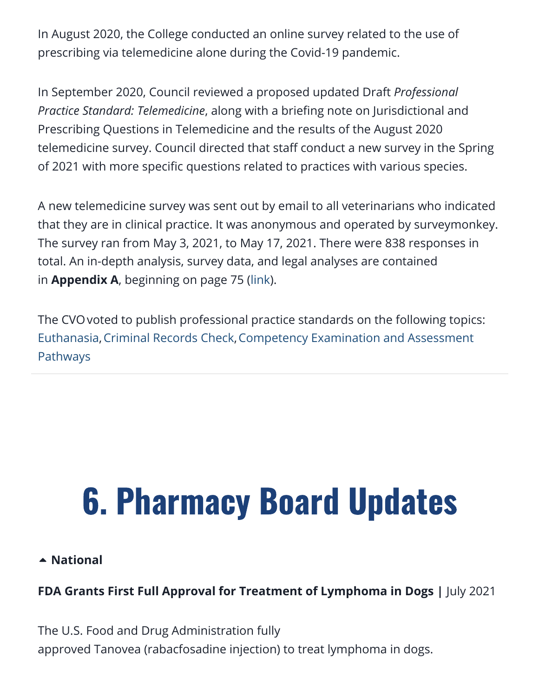In August 2020, the College conducted an online survey related to the use of prescribing via telemedicine alone during the Covid-19 pandemic.

In September 2020, Council reviewed a proposed updated Draft *Professional Practice Standard: Telemedicine*, along with a briefing note on Jurisdictional and Prescribing Questions in Telemedicine and the results of the August 2020 telemedicine survey. Council directed that staff conduct a new survey in the Spring of 2021 with more specific questions related to practices with various species.

A new telemedicine survey was sent out by email to all veterinarians who indicated that they are in clinical practice. It was anonymous and operated by surveymonkey. The survey ran from May 3, 2021, to May 17, 2021. There were 838 responses in total. An in-depth analysis, survey data, and legal analyses are contained in **Appendix A**, beginning on page 75 ([link\)](https://cvo.org/getmedia/1956323b-7d06-4f8c-bacf-de1c81231ee1/June_Council_Package_Website.pdf.aspx?ext=.pdf).

The CVOvoted to publish professional practice standards on the following topics: [Euthanasia](https://cvo.org/CVO/media/College-of-Veterinarians-of-Ontario/Public%20Consultations/DraftpPSEuthanasia.pdf?ext=.pdf)[,](https://cvo.org/getmedia/d0e97a0c-b1a6-483c-889c-17e37105677d/PS_competency_examination_and_assessment.pdf.aspx)[Criminal Records Check](https://cvo.org/Applicants/Licensure-Process/Licensure-Requirements-(1).aspx)[,Competency Examination and Assessment](https://cvo.org/getmedia/d0e97a0c-b1a6-483c-889c-17e37105677d/PS_competency_examination_and_assessment.pdf.aspx) Pathways

# <span id="page-30-0"></span>6. Pharmacy Board Updates

#### **[National](https://aavsbmemberservices.org/august-2021-conventional/?preview_id=4135&preview_nonce=c4a7e6e37c&preview=true)**

#### **FDA Grants First Full Approval for Treatment of Lymphoma in Dogs |** July 2021

The U.S. Food and Drug Administration fully approved Tanovea (rabacfosadine injection) to treat lymphoma in dogs.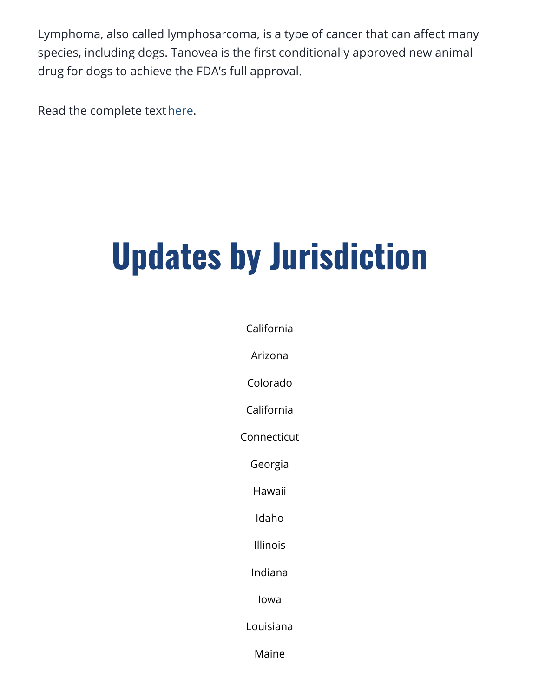Lymphoma, also called lymphosarcoma, is a type of cancer that can affect many species, including dogs. Tanovea is the first conditionally approved new animal drug for dogs to achieve the FDA's full approval.

Read the complete text[here](https://www.fda.gov/news-events/press-announcements/fda-grants-first-full-approval-treatment-lymphoma-dogs).

# Updates by Jurisdiction

[California](#page-32-0)

Arizona

[Colorado](#page-37-0)

[California](#page-32-0)

Connecticut

[Georgia](#page-40-0)

[Hawaii](#page-43-0)

Idaho

Illinois

Indiana

[Iowa](#page-44-0)

Louisiana

Maine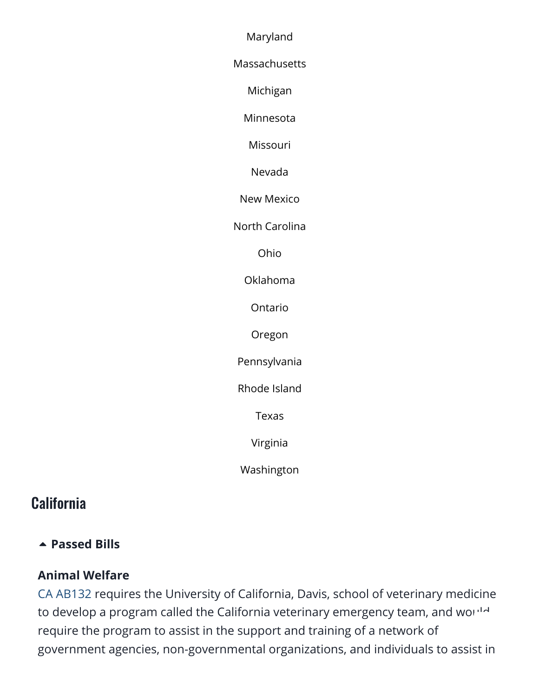Maryland

**Massachusetts** 

Michigan

Minnesota

Missouri

Nevada

New Mexico

[North Carolina](#page-46-0)

Ohio

Oklahoma

Ontario

Oregon

Pennsylvania

[Rhode Island](#page-48-0)

[Texas](#page-48-1)

Virginia

[Washington](#page-49-0)

#### <span id="page-32-0"></span>**California**

#### **[Passed Bills](https://aavsbmemberservices.org/august-2021-conventional/?preview_id=4135&preview_nonce=c4a7e6e37c&preview=true)**

#### **Animal Welfare**

[CA AB132](https://www.billtrack50.com/billdetail/1262709/25693) requires the University of California, Davis, school of veterinary medicine to develop a program called the California veterinary emergency team, and wo[uld](#page--1-0) require the program to assist in the support and training of a network of government agencies, non-governmental organizations, and individuals to assist in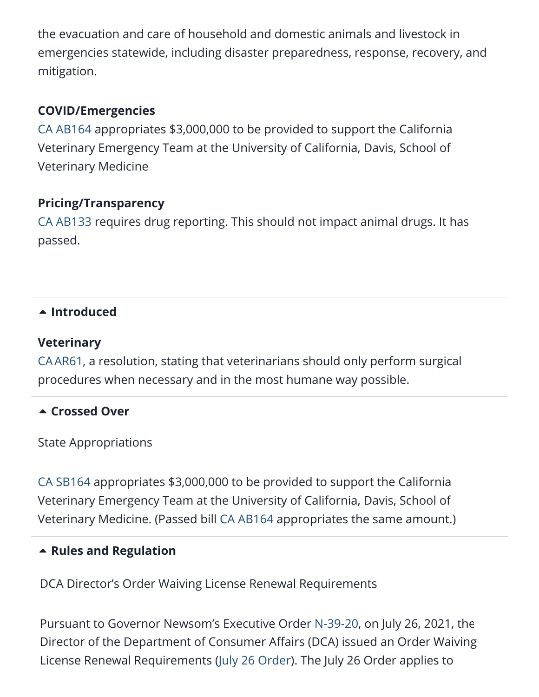the evacuation and care of household and domestic animals and livestock in emergencies statewide, including disaster preparedness, response, recovery, and mitigation.

#### **COVID/Emergencies**

[CA AB164](https://www.billtrack50.com/billdetail/1262741/25693) appropriates \$3,000,000 to be provided to support the California Veterinary Emergency Team at the University of California, Davis, School of Veterinary Medicine

#### **Pricing/Transparency**

[CA AB133](https://www.billtrack50.com/billdetail/1262710/25693) requires drug reporting. This should not impact animal drugs. It has passed.

#### **[Introduced](https://aavsbmemberservices.org/august-2021-conventional/?preview_id=4135&preview_nonce=c4a7e6e37c&preview=true)**

#### **Veterinary**

[CAAR61](https://www.billtrack50.com/billdetail/1383849/25693), a resolution, stating that veterinarians should only perform surgical procedures when necessary and in the most humane way possible.

#### **[Crossed Over](https://aavsbmemberservices.org/august-2021-conventional/?preview_id=4135&preview_nonce=c4a7e6e37c&preview=true)**

State Appropriations

[CA SB164](https://www.billtrack50.com/billdetail/1262843/25693) appropriates \$3,000,000 to be provided to support the California Veterinary Emergency Team at the University of California, Davis, School of Veterinary Medicine. (Passed bill [CA AB164](https://www.billtrack50.com/billdetail/1262741/25693) appropriates the same amount.)

#### **[Rules and Regulation](https://aavsbmemberservices.org/august-2021-conventional/?preview_id=4135&preview_nonce=c4a7e6e37c&preview=true)**

DCA Director's Order Waiving License Renewal Requirements

Pursuant to Governor Newsom's Executive Order [N-39-20](https://urldefense.proofpoint.com/v2/url?u=https-3A__www.gov.ca.gov_wp-2Dcontent_uploads_2020_03_3.30.20-2DEO-2DN-2D39-2D20.pdf&d=DwMFaQ&c=LHIwbLRMLqgNuqr1uGLfTA&r=TCuRocdGRPUUHQ2Rtx7pVQ&m=VNU8RixyhSM9Y5p8gKzhCuChESsPNZE-k80NCJSwLLE&s=Tn2yDnyMcE7mJ9IsUVrhu3KQcmoJDbHbVHnuGZ0bKrE&e=), on July 26, 2021, th[e](#page--1-0) Director of the Department of Consumer Affairs (DCA) issued an Order Waiving License Renewal Requirements ([July 26 Order\)](https://www.dca.ca.gov/licensees/dca_21_175.pdf). The July 26 Order applies to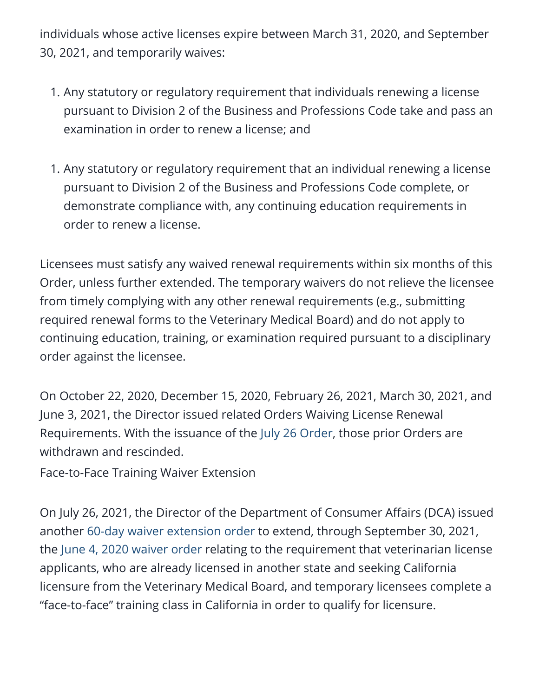individuals whose active licenses expire between March 31, 2020, and September 30, 2021, and temporarily waives:

- 1. Any statutory or regulatory requirement that individuals renewing a license pursuant to Division 2 of the Business and Professions Code take and pass an examination in order to renew a license; and
- 1. Any statutory or regulatory requirement that an individual renewing a license pursuant to Division 2 of the Business and Professions Code complete, or demonstrate compliance with, any continuing education requirements in order to renew a license.

Licensees must satisfy any waived renewal requirements within six months of this Order, unless further extended. The temporary waivers do not relieve the licensee from timely complying with any other renewal requirements (e.g., submitting required renewal forms to the Veterinary Medical Board) and do not apply to continuing education, training, or examination required pursuant to a disciplinary order against the licensee.

On October 22, 2020, December 15, 2020, February 26, 2021, March 30, 2021, and June 3, 2021, the Director issued related Orders Waiving License Renewal Requirements. With the issuance of the [July 26 Order](https://www.dca.ca.gov/licensees/dca_21_175.pdf), those prior Orders are withdrawn and rescinded.

Face-to-Face Training Waiver Extension

On July 26, 2021, the Director of the Department of Consumer Affairs (DCA) issued another [60-day waiver extension order](https://www.dca.ca.gov/licensees/dca_21_179.pdf) to extend, through September 30, 2021, the [June 4, 2020 waiver order](https://www.dca.ca.gov/licensees/dca_20_22.pdf) relating to the requirement that veterinarian license applicants, who are already licensed in another state and seeking California licensure from the Veterinary Medical Board, and temporary licensees complete a "face-to-face" training class in California in order to qualify for licensure.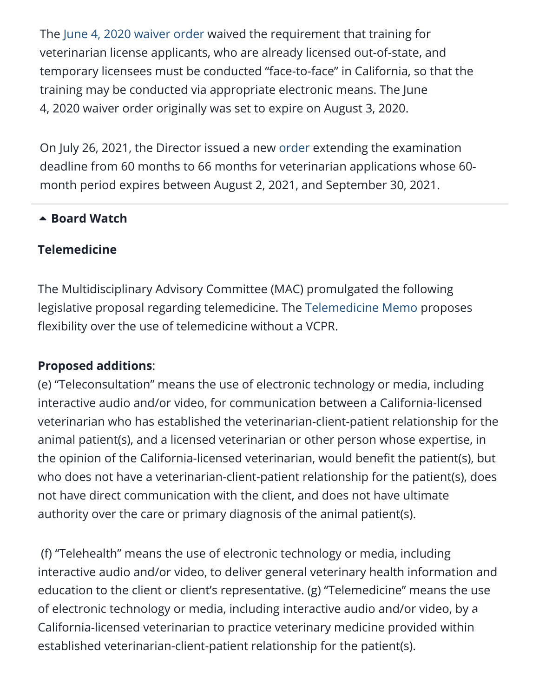The [June 4, 2020 waiver order](https://www.dca.ca.gov/licensees/dca_20_22.pdf) waived the requirement that training for veterinarian license applicants, who are already licensed out-of-state, and temporary licensees must be conducted "face-to-face" in California, so that the training may be conducted via appropriate electronic means. The June 4, 2020 waiver order originally was set to expire on August 3, 2020.

On July 26, 2021, the Director issued a new [order](https://www.dca.ca.gov/licensees/dca_21_177.pdf) extending the examination deadline from 60 months to 66 months for veterinarian applications whose 60 month period expires between August 2, 2021, and September 30, 2021.

#### **A** [Board Watch](https://aavsbmemberservices.org/august-2021-conventional/?preview_id=4135&preview_nonce=c4a7e6e37c&preview=true)

#### **Telemedicine**

The Multidisciplinary Advisory Committee (MAC) promulgated the following legislative proposal regarding telemedicine. The [Telemedicine Memo](https://www.vmb.ca.gov/meetings/materials/20210721_mdc_5.pdf) proposes flexibility over the use of telemedicine without a VCPR.

#### **Proposed additions**:

(e) "Teleconsultation" means the use of electronic technology or media, including interactive audio and/or video, for communication between a California-licensed veterinarian who has established the veterinarian-client-patient relationship for the animal patient(s), and a licensed veterinarian or other person whose expertise, in the opinion of the California-licensed veterinarian, would benefit the patient(s), but who does not have a veterinarian-client-patient relationship for the patient(s), does not have direct communication with the client, and does not have ultimate authority over the care or primary diagnosis of the animal patient(s).

(f) "Telehealth" means the use of electronic technology or media, including interactive audio and/or video, to deliver general veterinary health information and education to the client or client's representative. (g) "Telemedicine" means the use of electronic technology or media, including interactive audio and/or video, by a California-licensed veterinarian to practice veterinary medicine provided within established veterinarian-client-patient relationship for the patient(s).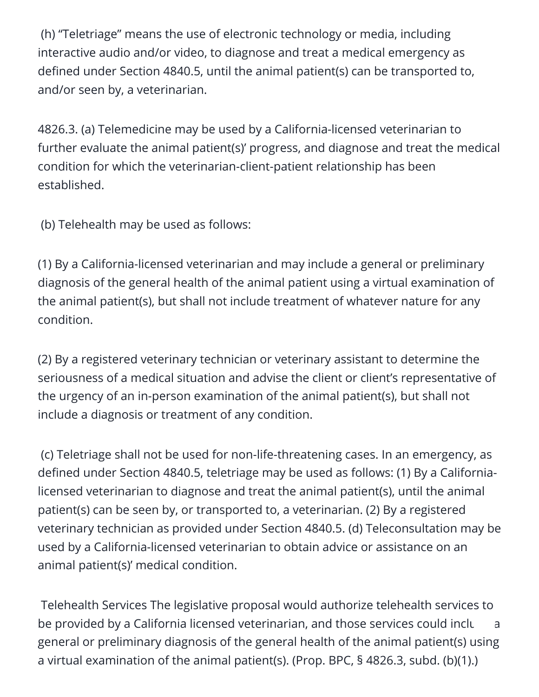(h) "Teletriage" means the use of electronic technology or media, including interactive audio and/or video, to diagnose and treat a medical emergency as defined under Section 4840.5, until the animal patient(s) can be transported to, and/or seen by, a veterinarian.

4826.3. (a) Telemedicine may be used by a California-licensed veterinarian to further evaluate the animal patient(s)' progress, and diagnose and treat the medical condition for which the veterinarian-client-patient relationship has been established.

(b) Telehealth may be used as follows:

(1) By a California-licensed veterinarian and may include a general or preliminary diagnosis of the general health of the animal patient using a virtual examination of the animal patient(s), but shall not include treatment of whatever nature for any condition.

(2) By a registered veterinary technician or veterinary assistant to determine the seriousness of a medical situation and advise the client or client's representative of the urgency of an in-person examination of the animal patient(s), but shall not include a diagnosis or treatment of any condition.

(c) Teletriage shall not be used for non-life-threatening cases. In an emergency, as defined under Section 4840.5, teletriage may be used as follows: (1) By a Californialicensed veterinarian to diagnose and treat the animal patient(s), until the animal patient(s) can be seen by, or transported to, a veterinarian. (2) By a registered veterinary technician as provided under Section 4840.5. (d) Teleconsultation may be used by a California-licensed veterinarian to obtain advice or assistance on an animal patient(s)' medical condition.

Telehealth Services The legislative proposal would authorize telehealth services to be provided by a California licensed veterinarian, and those services could incluare a general or preliminary diagnosis of the general health of the animal patient(s) using a virtual examination of the animal patient(s). (Prop. BPC, § 4826.3, subd. (b)(1).)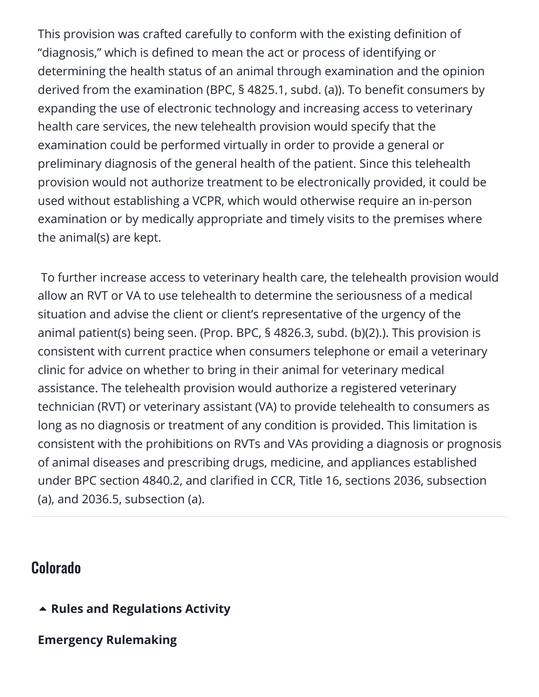This provision was crafted carefully to conform with the existing definition of "diagnosis," which is defined to mean the act or process of identifying or determining the health status of an animal through examination and the opinion derived from the examination (BPC, § 4825.1, subd. (a)). To benefit consumers by expanding the use of electronic technology and increasing access to veterinary health care services, the new telehealth provision would specify that the examination could be performed virtually in order to provide a general or preliminary diagnosis of the general health of the patient. Since this telehealth provision would not authorize treatment to be electronically provided, it could be used without establishing a VCPR, which would otherwise require an in-person examination or by medically appropriate and timely visits to the premises where the animal(s) are kept.

To further increase access to veterinary health care, the telehealth provision would allow an RVT or VA to use telehealth to determine the seriousness of a medical situation and advise the client or client's representative of the urgency of the animal patient(s) being seen. (Prop. BPC, § 4826.3, subd. (b)(2).). This provision is consistent with current practice when consumers telephone or email a veterinary clinic for advice on whether to bring in their animal for veterinary medical assistance. The telehealth provision would authorize a registered veterinary technician (RVT) or veterinary assistant (VA) to provide telehealth to consumers as long as no diagnosis or treatment of any condition is provided. This limitation is consistent with the prohibitions on RVTs and VAs providing a diagnosis or prognosis of animal diseases and prescribing drugs, medicine, and appliances established under BPC section 4840.2, and clarified in CCR, Title 16, sections 2036, subsection (a), and 2036.5, subsection (a).

#### <span id="page-37-0"></span>Colorado

- **[Rules and Regulations Activity](https://aavsbmemberservices.org/august-2021-conventional/?preview_id=4135&preview_nonce=c4a7e6e37c&preview=true)**
- **Emergency Rulemaking**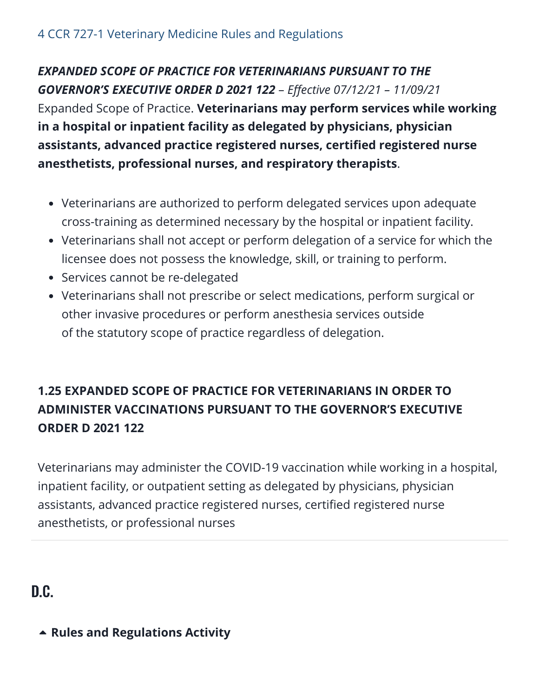#### *EXPANDED SCOPE OF PRACTICE FOR VETERINARIANS PURSUANT TO THE GOVERNOR'S EXECUTIVE ORDER D 2021 122* – *Effective 07/12/21 – 11/09/21*

Expanded Scope of Practice. **Veterinarians may perform services while working in a hospital or inpatient facility as delegated by physicians, physician assistants, advanced practice registered nurses, certified registered nurse anesthetists, professional nurses, and respiratory therapists**.

- Veterinarians are authorized to perform delegated services upon adequate cross-training as determined necessary by the hospital or inpatient facility.
- Veterinarians shall not accept or perform delegation of a service for which the licensee does not possess the knowledge, skill, or training to perform.
- Services cannot be re-delegated
- Veterinarians shall not prescribe or select medications, perform surgical or other invasive procedures or perform anesthesia services outside of the statutory scope of practice regardless of delegation.

#### **1.25 EXPANDED SCOPE OF PRACTICE FOR VETERINARIANS IN ORDER TO ADMINISTER VACCINATIONS PURSUANT TO THE GOVERNOR'S EXECUTIVE ORDER D 2021 122**

Veterinarians may administer the COVID-19 vaccination while working in a hospital, inpatient facility, or outpatient setting as delegated by physicians, physician assistants, advanced practice registered nurses, certified registered nurse anesthetists, or professional nurses

D.C.

#### **[Rules and Regulations Activity](https://aavsbmemberservices.org/august-2021-conventional/?preview_id=4135&preview_nonce=c4a7e6e37c&preview=true)**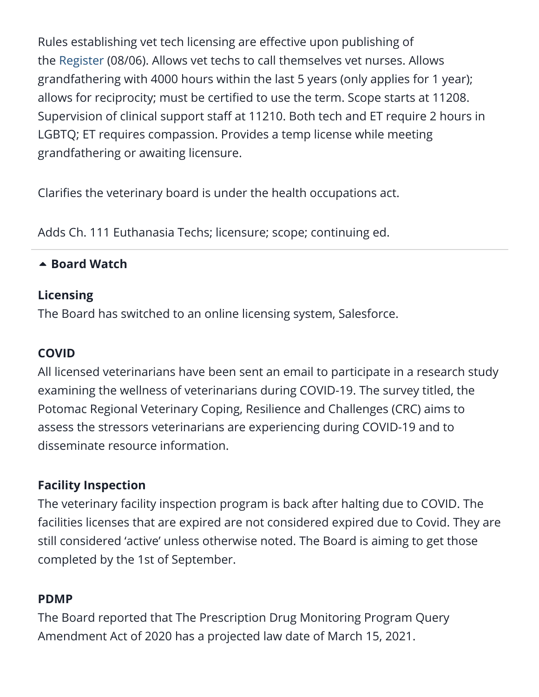Rules establishing vet tech licensing are effective upon publishing of the [Register](https://www.dcregs.dc.gov/Common/DCR/Issues/IssueDetailPage.aspx?issueID=886) (08/06). Allows vet techs to call themselves vet nurses. Allows grandfathering with 4000 hours within the last 5 years (only applies for 1 year); allows for reciprocity; must be certified to use the term. Scope starts at 11208. Supervision of clinical support staff at 11210. Both tech and ET require 2 hours in LGBTQ; ET requires compassion. Provides a temp license while meeting grandfathering or awaiting licensure.

Clarifies the veterinary board is under the health occupations act.

Adds Ch. 111 Euthanasia Techs; licensure; scope; continuing ed.

#### **A** [Board Watch](https://aavsbmemberservices.org/august-2021-conventional/?preview_id=4135&preview_nonce=c4a7e6e37c&preview=true)

#### **Licensing**

The Board has switched to an online licensing system, Salesforce.

#### **COVID**

All licensed veterinarians have been sent an email to participate in a research study examining the wellness of veterinarians during COVID-19. The survey titled, the Potomac Regional Veterinary Coping, Resilience and Challenges (CRC) aims to assess the stressors veterinarians are experiencing during COVID-19 and to disseminate resource information.

#### **Facility Inspection**

The veterinary facility inspection program is back after halting due to COVID. The facilities licenses that are expired are not considered expired due to Covid. They are still considered 'active' unless otherwise noted. The Board is aiming to get those completed by the 1st of September.

#### **PDMP**

The Board reported that The Prescription Drug Monitoring Program Query Amendment Act of 2020 has a projected law date of March 15, 2021.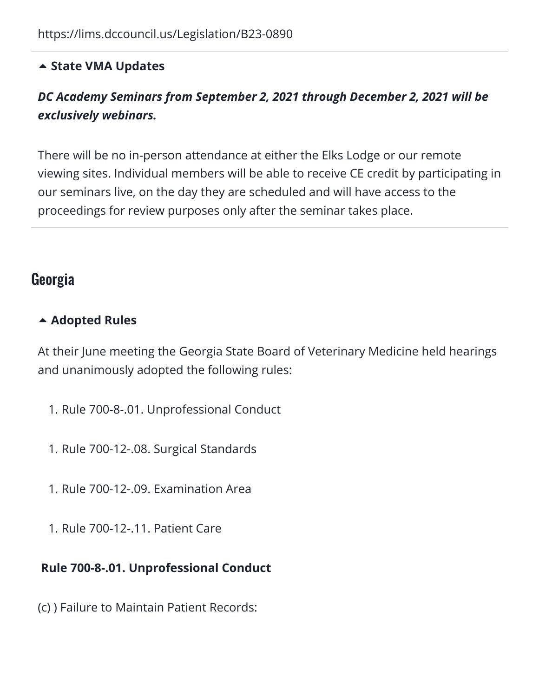#### **[State VMA Updates](https://aavsbmemberservices.org/august-2021-conventional/?preview_id=4135&preview_nonce=c4a7e6e37c&preview=true)**

#### *DC Academy Seminars from September 2, 2021 through December 2, 2021 will be exclusively webinars.*

There will be no in-person attendance at either the Elks Lodge or our remote viewing sites. Individual members will be able to receive CE credit by participating in our seminars live, on the day they are scheduled and will have access to the proceedings for review purposes only after the seminar takes place.

#### <span id="page-40-0"></span>Georgia

#### **[Adopted Rules](https://aavsbmemberservices.org/august-2021-conventional/?preview_id=4135&preview_nonce=c4a7e6e37c&preview=true)**

At their June meeting the Georgia State Board of Veterinary Medicine held hearings and unanimously adopted the following rules:

- 1. Rule 700-8-.01. Unprofessional Conduct
- 1. Rule 700-12-.08. Surgical Standards
- 1. Rule 700-12-.09. Examination Area
- 1. Rule 700-12-.11. Patient Care

#### **Rule 700-8-.01. Unprofessional Conduct**

(c) ) Failure to Maintain Patient Records: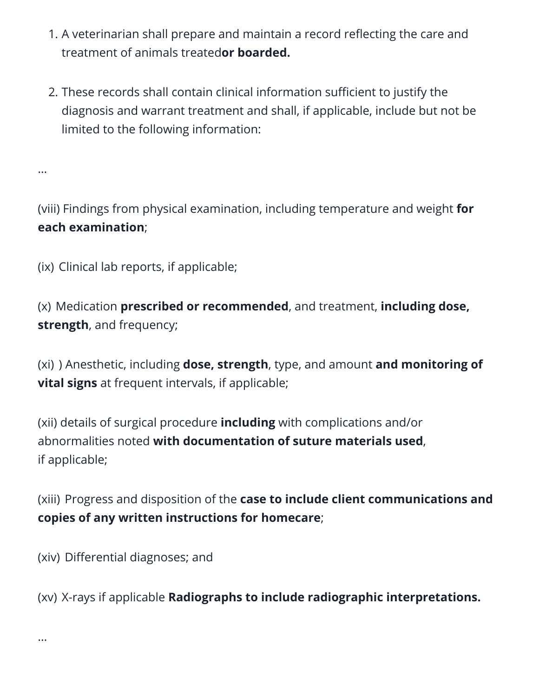- 1. A veterinarian shall prepare and maintain a record reflecting the care and treatment of animals treated**or boarded.**
- 2. These records shall contain clinical information sufficient to justify the diagnosis and warrant treatment and shall, if applicable, include but not be limited to the following information:

(viii) Findings from physical examination, including temperature and weight **for each examination**;

(ix) Clinical lab reports, if applicable;

(x) Medication **prescribed or recommended**, and treatment, **including dose, strength**, and frequency;

(xi) ) Anesthetic, including **dose, strength**, type, and amount **and monitoring of vital signs** at frequent intervals, if applicable;

(xii) details of surgical procedure **including** with complications and/or abnormalities noted **with documentation of suture materials used**, if applicable;

(xiii) Progress and disposition of the **case to include client communications and copies of any written instructions for homecare**;

(xiv) Differential diagnoses; and

(xv) X-rays if applicable **Radiographs to include radiographic interpretations.** 

…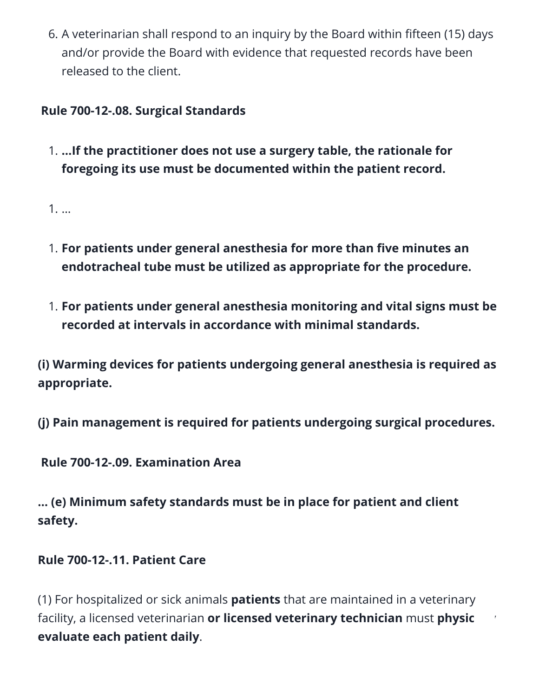6. A veterinarian shall respond to an inquiry by the Board within fifteen (15) days and/or provide the Board with evidence that requested records have been released to the client.

#### **Rule 700-12-.08. Surgical Standards**

1. **…If the practitioner does not use a surgery table, the rationale for foregoing its use must be documented within the patient record.**

1. …

- 1. **For patients under general anesthesia for more than five minutes an endotracheal tube must be utilized as appropriate for the procedure.**
- 1. **For patients under general anesthesia monitoring and vital signs must be recorded at intervals in accordance with minimal standards.**

**(i) Warming devices for patients undergoing general anesthesia is required as appropriate.** 

**(j) Pain management is required for patients undergoing surgical procedures.**

**Rule 700-12-.09. Examination Area** 

**… (e) Minimum safety standards must be in place for patient and client safety.** 

#### **Rule 700-12-.11. Patient Care**

(1) For hospitalized or sick animals **patients** that are maintained in a veterinary facility, a licensed veterinarian or licensed veterinary technician must physic **evaluate each patient daily**.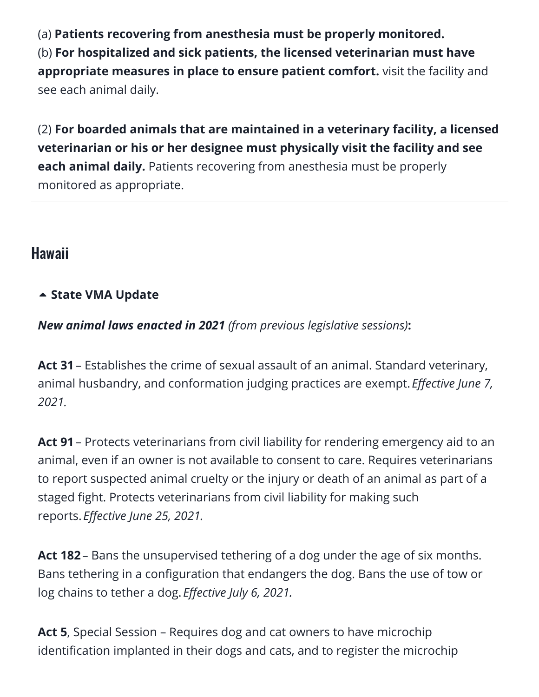(a) **Patients recovering from anesthesia must be properly monitored.** (b) **For hospitalized and sick patients, the licensed veterinarian must have appropriate measures in place to ensure patient comfort.** visit the facility and see each animal daily.

(2) **For boarded animals that are maintained in a veterinary facility, a licensed veterinarian or his or her designee must physically visit the facility and see each animal daily.** Patients recovering from anesthesia must be properly monitored as appropriate.

#### <span id="page-43-0"></span>Hawaii

#### **[State VMA Update](https://aavsbmemberservices.org/august-2021-conventional/?preview_id=4135&preview_nonce=c4a7e6e37c&preview=true)**

*New animal laws enacted in 2021 (from previous legislative sessions)***:**

**Act 31**– Establishes the crime of sexual assault of an animal. Standard veterinary, animal husbandry, and conformation judging practices are exempt. *Effective June 7, 2021.*

**Act 91**– Protects veterinarians from civil liability for rendering emergency aid to an animal, even if an owner is not available to consent to care. Requires veterinarians to report suspected animal cruelty or the injury or death of an animal as part of a staged fight. Protects veterinarians from civil liability for making such reports. *Effective June 25, 2021.*

**Act 182**– Bans the unsupervised tethering of a dog under the age of six months. Bans tethering in a configuration that endangers the dog. Bans the use of tow or log chains to tether a dog. *Effective July 6, 2021.*

**Act 5**, Special Session – Requires dog and cat owners to have microchip identification implanted in their dogs and cats, and to register the microchip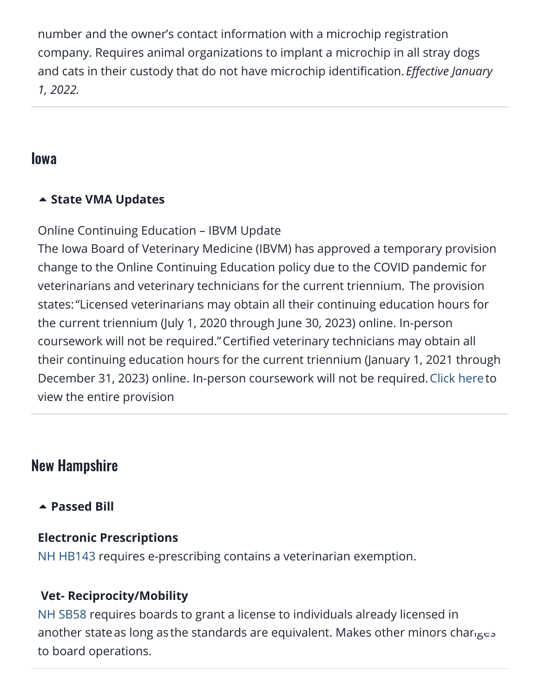number and the owner's contact information with a microchip registration company. Requires animal organizations to implant a microchip in all stray dogs and cats in their custody that do not have microchip identification. *Effective January 1, 2022.*

#### <span id="page-44-0"></span>Iowa

#### **[State VMA Updates](https://aavsbmemberservices.org/august-2021-conventional/?preview_id=4135&preview_nonce=c4a7e6e37c&preview=true)**

Online Continuing Education – IBVM Update

The Iowa Board of Veterinary Medicine (IBVM) has approved a temporary provision change to the Online Continuing Education policy due to the COVID pandemic for veterinarians and veterinary technicians for the current triennium. The provision states:"Licensed veterinarians may obtain all their continuing education hours for the current triennium (July 1, 2020 through June 30, 2023) online. In-person coursework will not be required."Certified veterinary technicians may obtain all their continuing education hours for the current triennium (January 1, 2021 through December 31, 2023) online. In-person coursework will not be required. [Click here](https://www.iowavma.org/Files/COVID/Vet%20Board-Online%20CE%20Hours%20Policy%20Guidance-FINAL%20032621.pdf)to view the entire provision

### New Hampshire

**[Passed Bill](https://aavsbmemberservices.org/august-2021-conventional/?preview_id=4135&preview_nonce=c4a7e6e37c&preview=true)**

#### **Electronic Prescriptions**

[NH HB143](https://www.billtrack50.com/billdetail/1257741/25693) requires e-prescribing contains a veterinarian exemption.

#### **Vet- Reciprocity/Mobility**

[NH SB58](https://www.billtrack50.com/billdetail/1276232/25693) requires boards to grant a license to individuals already licensed in another state as long as the standards are equivalent. Makes other minors cha[nges](#page--1-0) to board operations.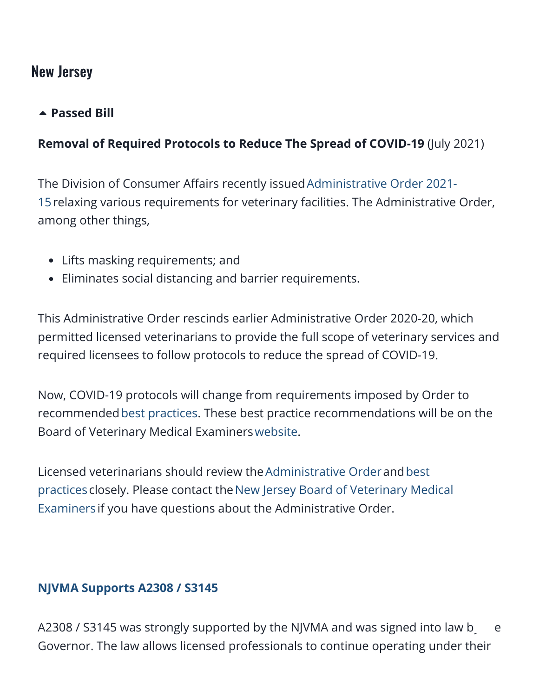#### New Jersey

#### **[Passed Bill](https://aavsbmemberservices.org/august-2021-conventional/?preview_id=4135&preview_nonce=c4a7e6e37c&preview=true)**

#### **Removal of Required Protocols to Reduce The Spread of COVID-19** (July 2021)

The Division of Consumer Affairs recently issued Administrative Order 2021-[15relaxing various requirements for veterinary facilities. The Administrative](https://www.njconsumeraffairs.gov/COVID19/Documents/DCA-AO-2021-15-Rescinding-COVID-Restrictions-on-Veterinary-Offices.pdf) Order, among other things,

- Lifts masking requirements; and
- Eliminates social distancing and barrier requirements.

This Administrative Order rescinds earlier Administrative Order 2020-20, which permitted licensed veterinarians to provide the full scope of veterinary services and required licensees to follow protocols to reduce the spread of COVID-19.

Now, COVID-19 protocols will change from requirements imposed by Order to recommended[best practices.](https://www.njconsumeraffairs.gov/COVID19/Documents/COVID-19-Health-and-Safety-Recommendations-for-Veterinary-Practices.pdf) These best practice recommendations will be on the Board of Veterinary Medical Examiners[website](https://www.njconsumeraffairs.gov/vet/Pages/default.aspx).

[Licensed veterinarians should review the](https://www.njconsumeraffairs.gov/COVID19/Documents/COVID-19-Health-and-Safety-Recommendations-for-Veterinary-Practices.pdf)[Administrative Orde](https://www.njconsumeraffairs.gov/COVID19/Documents/DCA-AO-2021-15-Rescinding-COVID-Restrictions-on-Veterinary-Offices.pdf)[r](https://www.njconsumeraffairs.gov/COVID19/Documents/COVID-19-Health-and-Safety-Recommendations-for-Veterinary-Practices.pdf) andbest practices closely. Please contact the New Jersey Board of Veterinary Medical Examiners if you have questions about the Administrative Order.

#### **[NJVMA Supports A2308 / S3145](https://njvma.org/page/LegislativeActivity_NJVMA)**

A2308 / S3145 was strongly supported b[y the](#page--1-0) NJVMA and was signed into law by e Governor. The law allows licensed professionals to continue operating under their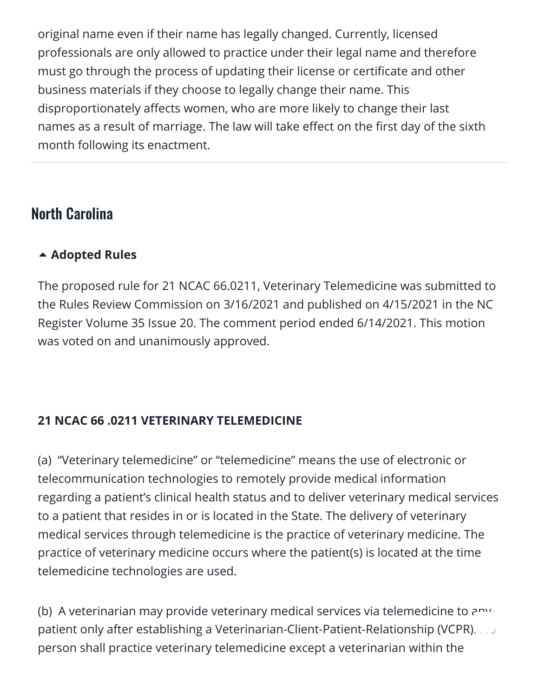original name even if their name has legally changed. Currently, licensed professionals are only allowed to practice under their legal name and therefore must go through the process of updating their license or certificate and other business materials if they choose to legally change their name. This disproportionately affects women, who are more likely to change their last names as a result of marriage. The law will take effect on the first day of the sixth month following its enactment.

#### <span id="page-46-0"></span>North Carolina

#### **[Adopted Rules](https://aavsbmemberservices.org/august-2021-conventional/?preview_id=4135&preview_nonce=c4a7e6e37c&preview=true)**

The proposed rule for 21 NCAC 66.0211, Veterinary Telemedicine was submitted to the Rules Review Commission on 3/16/2021 and published on 4/15/2021 in the NC Register Volume 35 Issue 20. The comment period ended 6/14/2021. This motion was voted on and unanimously approved.

#### **21 NCAC 66 .0211 VETERINARY TELEMEDICINE**

(a) "Veterinary telemedicine" or "telemedicine" means the use of electronic or telecommunication technologies to remotely provide medical information regarding a patient's clinical health status and to deliver veterinary medical services to a patient that resides in or is located in the State. The delivery of veterinary medical services through telemedicine is the practice of veterinary medicine. The practice of veterinary medicine occurs where the patient(s) is located at the time telemedicine technologies are used.

(b) A veterinarian may provide veterinary medical services via telemedicine to any patient only after establishing a Veterinarian-Client-Patient-Relationship (VCPR).  $\ldots$ person shall practice veterinary telemedicine except a veterinarian within the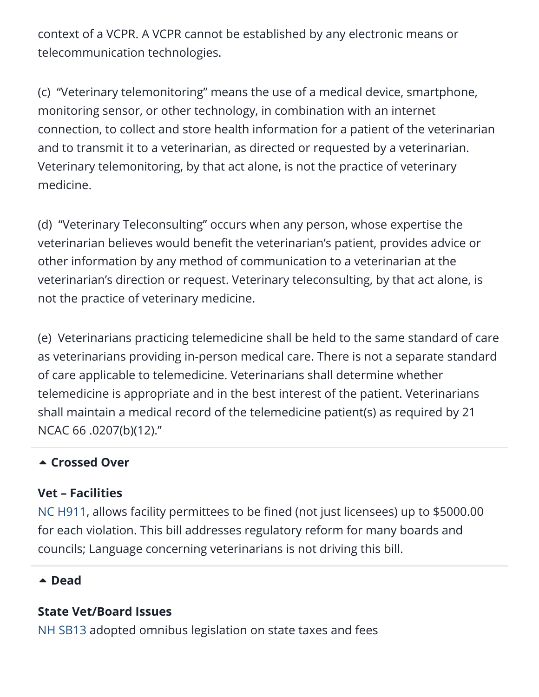context of a VCPR. A VCPR cannot be established by any electronic means or telecommunication technologies.

(c) "Veterinary telemonitoring" means the use of a medical device, smartphone, monitoring sensor, or other technology, in combination with an internet connection, to collect and store health information for a patient of the veterinarian and to transmit it to a veterinarian, as directed or requested by a veterinarian. Veterinary telemonitoring, by that act alone, is not the practice of veterinary medicine.

(d) "Veterinary Teleconsulting" occurs when any person, whose expertise the veterinarian believes would benefit the veterinarian's patient, provides advice or other information by any method of communication to a veterinarian at the veterinarian's direction or request. Veterinary teleconsulting, by that act alone, is not the practice of veterinary medicine.

(e) Veterinarians practicing telemedicine shall be held to the same standard of care as veterinarians providing in-person medical care. There is not a separate standard of care applicable to telemedicine. Veterinarians shall determine whether telemedicine is appropriate and in the best interest of the patient. Veterinarians shall maintain a medical record of the telemedicine patient(s) as required by 21 NCAC 66 .0207(b)(12)."

#### **[Crossed Over](https://aavsbmemberservices.org/august-2021-conventional/?preview_id=4135&preview_nonce=c4a7e6e37c&preview=true)**

#### **Vet – Facilities**

[NC H911,](https://www.billtrack50.com/billdetail/1372004/25693) allows facility permittees to be fined (not just licensees) up to \$5000.00 for each violation. This bill addresses regulatory reform for many boards and councils; Language concerning veterinarians is not driving this bill.

#### **[Dead](https://aavsbmemberservices.org/august-2021-conventional/?preview_id=4135&preview_nonce=c4a7e6e37c&preview=true)**

#### **State Vet/Board Issues**

[NH SB13](https://www.billtrack50.com/billdetail/1288568/25693) adopted omnibus legislation on state taxes and fees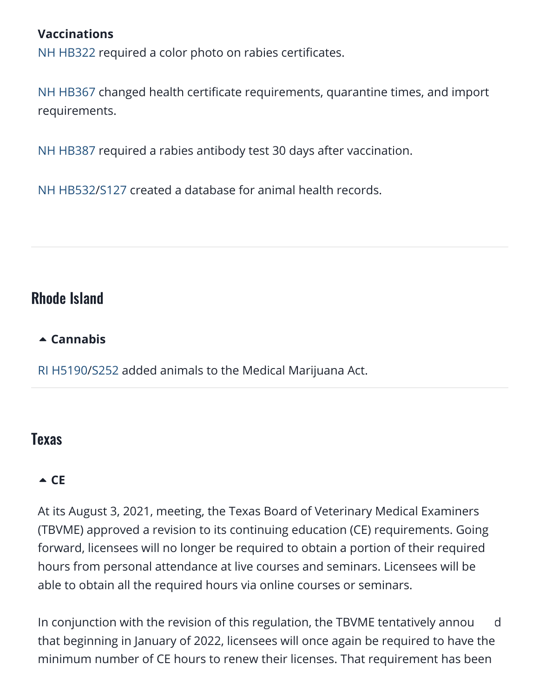#### **Vaccinations**

[NH HB322](https://www.billtrack50.com/billdetail/1260591/25693) required a color photo on rabies certificates.

[NH HB367](https://www.billtrack50.com/billdetail/1260947/25693) changed health certificate requirements, quarantine times, and import requirements.

[NH HB387](https://www.billtrack50.com/billdetail/1261022/25693) required a rabies antibody test 30 days after vaccination.

[NH HB532](https://www.billtrack50.com/billdetail/1267096/25693)/[S127](https://www.billtrack50.com/billdetail/1300028/25693) created a database for animal health records.

#### <span id="page-48-0"></span>Rhode Island

#### **[Cannabis](https://aavsbmemberservices.org/august-2021-conventional/?preview_id=4135&preview_nonce=c4a7e6e37c&preview=true)**

[RI H5190](https://www.billtrack50.com/billdetail/1289700/25693)/[S252](https://www.billtrack50.com/billdetail/1313940/25693) added animals to the Medical Marijuana Act.

#### <span id="page-48-1"></span>Texas

#### $\triangle$  [CE](https://aavsbmemberservices.org/august-2021-conventional/?preview_id=4135&preview_nonce=c4a7e6e37c&preview=true)

At its August 3, 2021, meeting, the Texas Board of Veterinary Medical Examiners (TBVME) approved a revision to its continuing education (CE) requirements. Going forward, licensees will no longer be required to obtain a portion of their required hours from personal attendance at live courses and seminars. Licensees will be able to obtain all the required hours via online courses or seminars.

In conjunction with the revision of this regulation, the TBVME tentatively annou  $\overline{d}$ that beginning in January of 2022, licensees will once again be required to have the minimum number of CE hours to renew their licenses. That requirement has been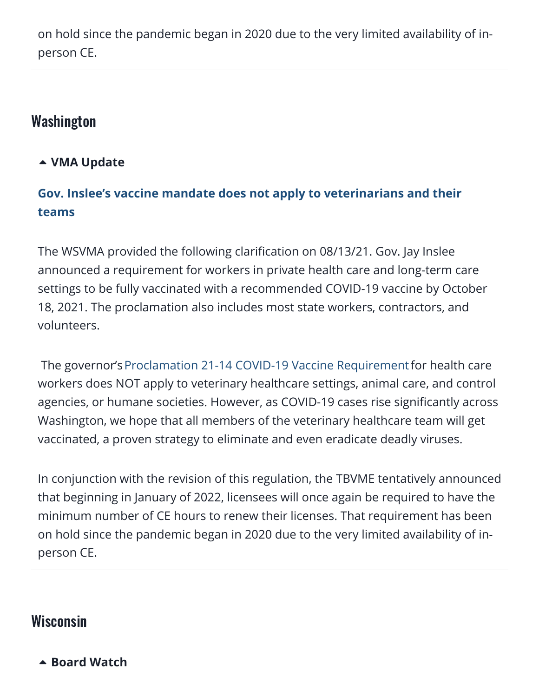on hold since the pandemic began in 2020 due to the very limited availability of inperson CE.

#### <span id="page-49-0"></span>Washington

#### **[VMA Update](https://aavsbmemberservices.org/august-2021-conventional/?preview_id=4135&preview_nonce=c4a7e6e37c&preview=true)**

#### **[Gov. Inslee's vaccine mandate does not apply to veterinarians and their](https://wsvma.org/2021/08/13/gov-inslees-vaccine-mandate-does-not-apply-to-veterinarians-and-their-teams-2/) teams**

The WSVMA provided the following clarification on 08/13/21. Gov. Jay Inslee announced a requirement for workers in private health care and long-term care settings to be fully vaccinated with a recommended COVID-19 vaccine by October 18, 2021. The proclamation also includes most state workers, contractors, and volunteers.

The governor's [Proclamation 21-14 COVID-19 Vaccine Requirement](https://wsvma.us20.list-manage.com/track/click?u=29f1beb052e4edff6c41d1747&id=aaf426ead8&e=5ac1746896) for health care workers does NOT apply to veterinary healthcare settings, animal care, and control agencies, or humane societies. However, as COVID-19 cases rise significantly across Washington, we hope that all members of the veterinary healthcare team will get vaccinated, a proven strategy to eliminate and even eradicate deadly viruses.

In conjunction with the revision of this regulation, the TBVME tentatively announced that beginning in January of 2022, licensees will once again be required to have the minimum number of CE hours to renew their licenses. That requirement has been on hold since the pandemic began in 2020 due to the very limited availability of inperson CE.

#### Wisconsin

**[Board Watch](https://aavsbmemberservices.org/august-2021-conventional/?preview_id=4135&preview_nonce=c4a7e6e37c&preview=true)**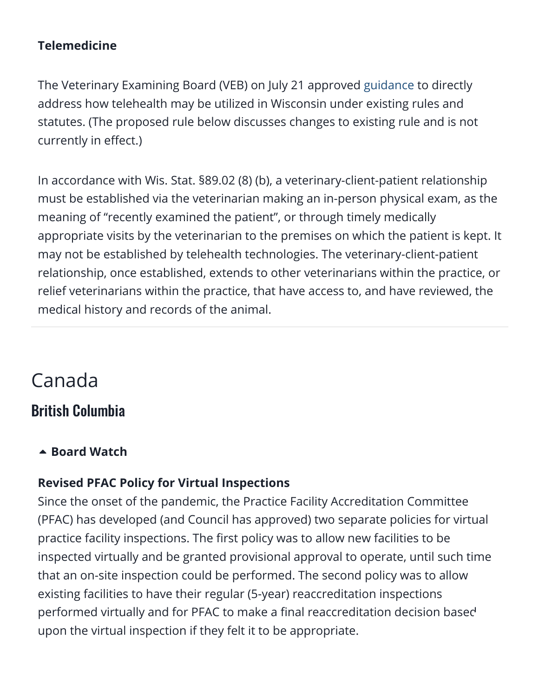#### **Telemedicine**

The Veterinary Examining Board (VEB) on July 21 approved [guidance](https://datcp.wi.gov/Documents2/VEBTelehealth.pdf) to directly address how telehealth may be utilized in Wisconsin under existing rules and statutes. (The proposed rule below discusses changes to existing rule and is not currently in effect.)

In accordance with Wis. Stat. §89.02 (8) (b), a veterinary-client-patient relationship must be established via the veterinarian making an in-person physical exam, as the meaning of "recently examined the patient", or through timely medically appropriate visits by the veterinarian to the premises on which the patient is kept. It may not be established by telehealth technologies. The veterinary-client-patient relationship, once established, extends to other veterinarians within the practice, or relief veterinarians within the practice, that have access to, and have reviewed, the medical history and records of the animal.

### Canada

#### British Columbia

#### **A** [Board Watch](https://aavsbmemberservices.org/august-2021-conventional/?preview_id=4135&preview_nonce=c4a7e6e37c&preview=true)

#### **Revised PFAC Policy for Virtual Inspections**

Since the onset of the pandemic, the Practice Facility Accreditation Committee (PFAC) has developed (and Council has approved) two separate policies for virtual practice facility inspections. The first policy was to allow new facilities to be inspected virtually and be granted provisional approval to operate, until such time that an on-site inspection could be performed. The second policy was to allow existing facilities to have their regular (5-year) reaccreditation inspections performed virtually and for PFAC to make a final reaccreditation decision base[d](#page--1-0) upon the virtual inspection if they felt it to be appropriate.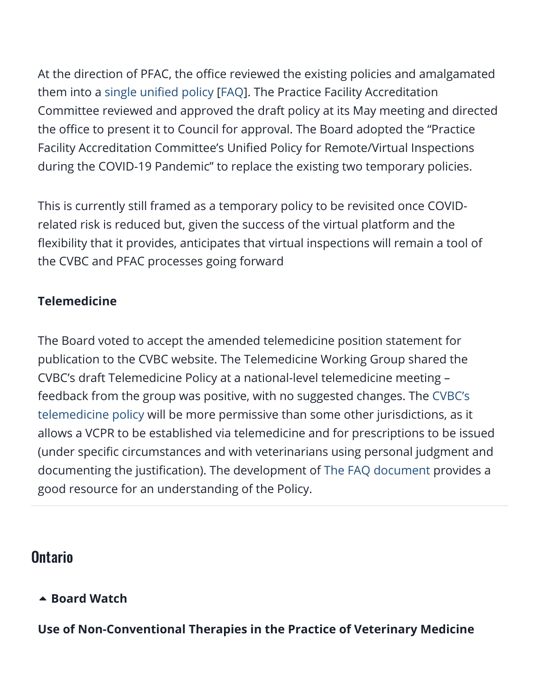At the direction of PFAC, the office reviewed the existing policies and amalgamated them into a [single unified policy](https://cvbc.ca/wp-content/uploads/2021/07/Unified-Policy-for-Remote-Virtual-Inspections-during-the-COVID-19-Pandemic.pdf) [[FAQ\]](https://cvbc.ca/wp-content/uploads/2021/07/FAQ-for-the-Unified-Policy-for-Remote-Virtual-Inspections-during-the-COVID-19-Pandemic.pdf). The Practice Facility Accreditation Committee reviewed and approved the draft policy at its May meeting and directed the office to present it to Council for approval. The Board adopted the "Practice Facility Accreditation Committee's Unified Policy for Remote/Virtual Inspections during the COVID-19 Pandemic" to replace the existing two temporary policies.

This is currently still framed as a temporary policy to be revisited once COVIDrelated risk is reduced but, given the success of the virtual platform and the flexibility that it provides, anticipates that virtual inspections will remain a tool of the CVBC and PFAC processes going forward

#### **Telemedicine**

The Board voted to accept the amended telemedicine position statement for publication to the CVBC website. The Telemedicine Working Group shared the CVBC's draft Telemedicine Policy at a national-level telemedicine meeting – feedback from the group was positive, with no suggested changes. The CVBC's [telemedicine policy will be more permissive than some other jurisdictions, as it](https://cvbc.ca/wp-content/uploads/2021/07/CVBC-Guidelines-Update-Telemedicine-July-2021-FINAL-for-posting.pdf) allows a VCPR to be established via telemedicine and for prescriptions to be issued (under specific circumstances and with veterinarians using personal judgment and documenting the justification). The development of [The FAQ document](https://cvbc.ca/wp-content/uploads/2021/07/CVBC-Telemedicine-FAQs-July-2021.pdf) provides a good resource for an understanding of the Policy.

#### **Ontario**

#### **A** [Board Watch](https://aavsbmemberservices.org/august-2021-conventional/?preview_id=4135&preview_nonce=c4a7e6e37c&preview=true)

**Use of Non-Conventional Therapies in the Practice of Veterinary Medicin[e](#page--1-0)**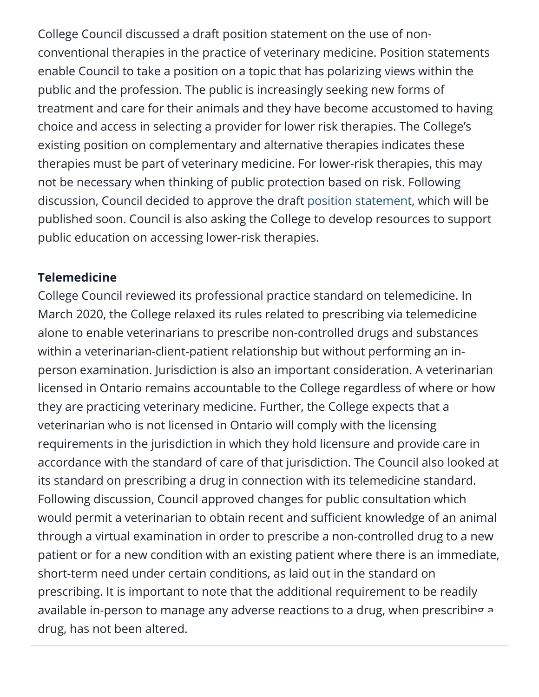College Council discussed a draft position statement on the use of nonconventional therapies in the practice of veterinary medicine. Position statements enable Council to take a position on a topic that has polarizing views within the public and the profession. The public is increasingly seeking new forms of treatment and care for their animals and they have become accustomed to having choice and access in selecting a provider for lower risk therapies. The College's existing position on complementary and alternative therapies indicates these therapies must be part of veterinary medicine. For lower-risk therapies, this may not be necessary when thinking of public protection based on risk. Following discussion, Council decided to approve the draft [position statement](https://cvo.org/getmedia/856393a8-5b15-4288-b6aa-c11649fef53d/PS_NonConventionalTherapies.pdf.aspx), which will be published soon. Council is also asking the College to develop resources to support public education on accessing lower-risk therapies.

#### **Telemedicine**

College Council reviewed its professional practice standard on telemedicine. In March 2020, the College relaxed its rules related to prescribing via telemedicine alone to enable veterinarians to prescribe non-controlled drugs and substances within a veterinarian-client-patient relationship but without performing an inperson examination. Jurisdiction is also an important consideration. A veterinarian licensed in Ontario remains accountable to the College regardless of where or how they are practicing veterinary medicine. Further, the College expects that a veterinarian who is not licensed in Ontario will comply with the licensing requirements in the jurisdiction in which they hold licensure and provide care in accordance with the standard of care of that jurisdiction. The Council also looked at its standard on prescribing a drug in connection with its telemedicine standard. Following discussion, Council approved changes for public consultation which would permit a veterinarian to obtain recent and sufficient knowledge of an animal through a virtual examination in order to prescribe a non-controlled drug to a new patient or for a new condition with an existing patient where there is an immediate, short-term need under certain conditions, as laid out in the standard on prescribing. It is important to note that the additional requirement to be readily available in-person to manage any adverse reactions to a drug, when prescribi[ng a](#page--1-0) drug, has not been altered.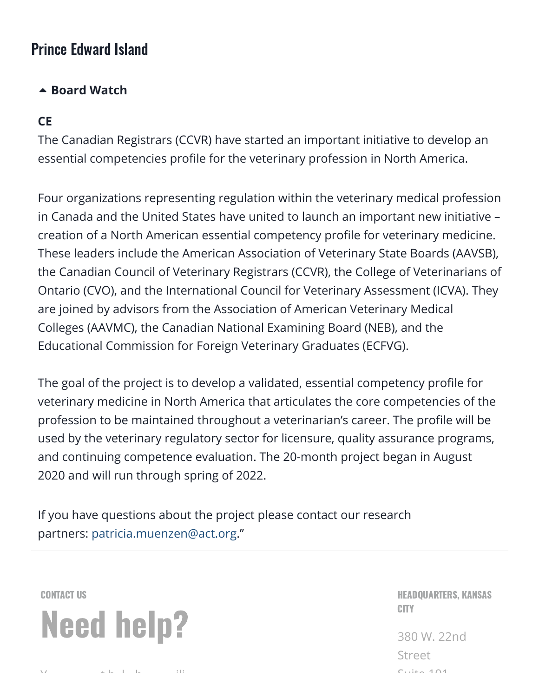#### Prince Edward Island

#### **A** [Board Watch](https://aavsbmemberservices.org/august-2021-conventional/?preview_id=4135&preview_nonce=c4a7e6e37c&preview=true)

#### **CE**

The Canadian Registrars (CCVR) have started an important initiative to develop an essential competencies profile for the veterinary profession in North America.

Four organizations representing regulation within the veterinary medical profession in Canada and the United States have united to launch an important new initiative – creation of a North American essential competency profile for veterinary medicine. These leaders include the American Association of Veterinary State Boards (AAVSB), the Canadian Council of Veterinary Registrars (CCVR), the College of Veterinarians of Ontario (CVO), and the International Council for Veterinary Assessment (ICVA). They are joined by advisors from the Association of American Veterinary Medical Colleges (AAVMC), the Canadian National Examining Board (NEB), and the Educational Commission for Foreign Veterinary Graduates (ECFVG).

The goal of the project is to develop a validated, essential competency profile for veterinary medicine in North America that articulates the core competencies of the profession to be maintained throughout a veterinarian's career. The profile will be used by the veterinary regulatory sector for licensure, quality assurance programs, and continuing competence evaluation. The 20-month project began in August 2020 and will run through spring of 2022.

If you have questions about the project please contact our research partners: [patricia.muenzen@act.org.](mailto:patricia.muenzen@act.org)"



Y the little state of the

HEADQUARTERS, KANSAS **CITY** 

380 W. 22nd Street  $C$ uite 101